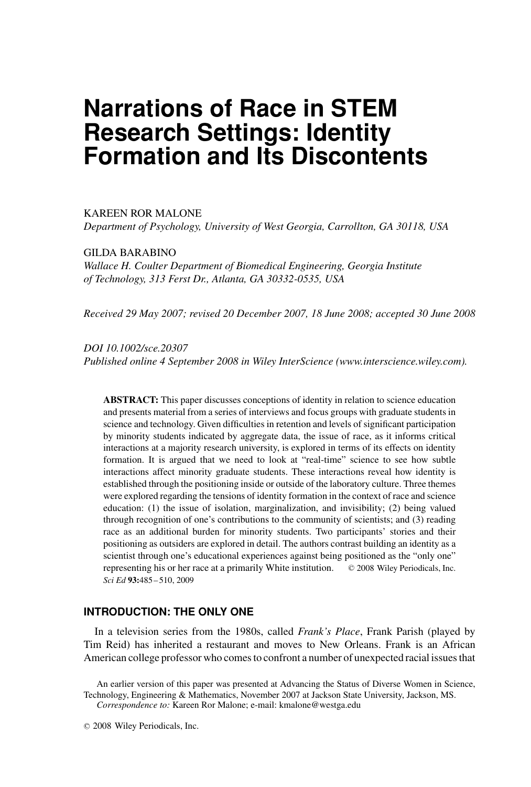# **Narrations of Race in STEM Research Settings: Identity Formation and Its Discontents**

#### KAREEN ROR MALONE

*Department of Psychology, University of West Georgia, Carrollton, GA 30118, USA*

#### GILDA BARABINO

*Wallace H. Coulter Department of Biomedical Engineering, Georgia Institute of Technology, 313 Ferst Dr., Atlanta, GA 30332-0535, USA*

*Received 29 May 2007; revised 20 December 2007, 18 June 2008; accepted 30 June 2008*

*DOI 10.1002/sce.20307 Published online 4 September 2008 in Wiley InterScience (www.interscience.wiley.com).*

**ABSTRACT:** This paper discusses conceptions of identity in relation to science education and presents material from a series of interviews and focus groups with graduate students in science and technology. Given difficulties in retention and levels of significant participation by minority students indicated by aggregate data, the issue of race, as it informs critical interactions at a majority research university, is explored in terms of its effects on identity formation. It is argued that we need to look at "real-time" science to see how subtle interactions affect minority graduate students. These interactions reveal how identity is established through the positioning inside or outside of the laboratory culture. Three themes were explored regarding the tensions of identity formation in the context of race and science education: (1) the issue of isolation, marginalization, and invisibility; (2) being valued through recognition of one's contributions to the community of scientists; and (3) reading race as an additional burden for minority students. Two participants' stories and their positioning as outsiders are explored in detail. The authors contrast building an identity as a scientist through one's educational experiences against being positioned as the "only one" representing his or her race at a primarily White institution.  $\circ$  2008 Wiley Periodicals, Inc. *Sci Ed* **93:**485 – 510, 2009

# **INTRODUCTION: THE ONLY ONE**

In a television series from the 1980s, called *Frank's Place*, Frank Parish (played by Tim Reid) has inherited a restaurant and moves to New Orleans. Frank is an African American college professor who comes to confront a number of unexpected racial issues that

An earlier version of this paper was presented at Advancing the Status of Diverse Women in Science, Technology, Engineering & Mathematics, November 2007 at Jackson State University, Jackson, MS. *Correspondence to:* Kareen Ror Malone; e-mail: kmalone@westga.edu

 $© 2008 Wiley Periodicals, Inc.$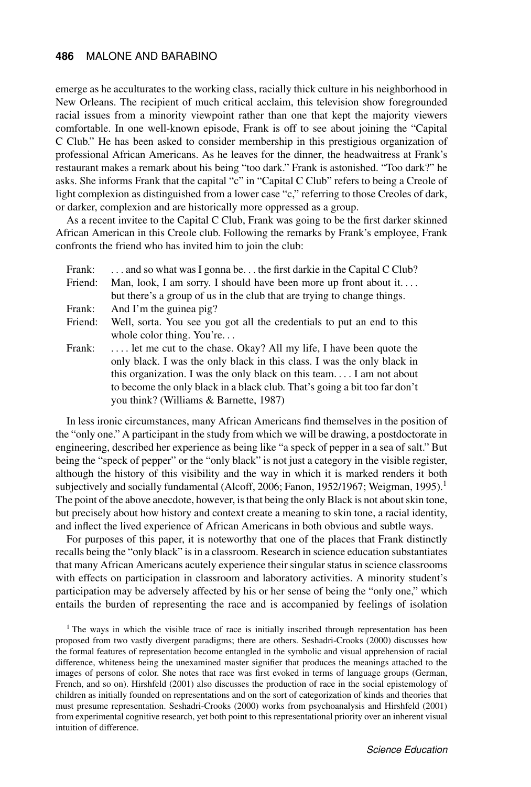emerge as he acculturates to the working class, racially thick culture in his neighborhood in New Orleans. The recipient of much critical acclaim, this television show foregrounded racial issues from a minority viewpoint rather than one that kept the majority viewers comfortable. In one well-known episode, Frank is off to see about joining the "Capital C Club." He has been asked to consider membership in this prestigious organization of professional African Americans. As he leaves for the dinner, the headwaitress at Frank's restaurant makes a remark about his being "too dark." Frank is astonished. "Too dark?" he asks. She informs Frank that the capital "c" in "Capital C Club" refers to being a Creole of light complexion as distinguished from a lower case "c," referring to those Creoles of dark, or darker, complexion and are historically more oppressed as a group.

As a recent invitee to the Capital C Club, Frank was going to be the first darker skinned African American in this Creole club. Following the remarks by Frank's employee, Frank confronts the friend who has invited him to join the club:

- Frank: ... and so what was I gonna be... the first darkie in the Capital C Club? Friend: Man, look, I am sorry. I should have been more up front about it.... but there's a group of us in the club that are trying to change things. Frank: And I'm the guinea pig? Friend: Well, sorta. You see you got all the credentials to put an end to this whole color thing. You're... Frank: ... let me cut to the chase. Okay? All my life, I have been quote the only black. I was the only black in this class. I was the only black in
	- this organization. I was the only black on this team. . . . I am not about to become the only black in a black club. That's going a bit too far don't you think? (Williams & Barnette, 1987)

In less ironic circumstances, many African Americans find themselves in the position of the "only one." A participant in the study from which we will be drawing, a postdoctorate in engineering, described her experience as being like "a speck of pepper in a sea of salt." But being the "speck of pepper" or the "only black" is not just a category in the visible register, although the history of this visibility and the way in which it is marked renders it both subjectively and socially fundamental (Alcoff, 2006; Fanon, 1952/1967; Weigman, 1995).<sup>1</sup> The point of the above anecdote, however, is that being the only Black is not about skin tone, but precisely about how history and context create a meaning to skin tone, a racial identity, and inflect the lived experience of African Americans in both obvious and subtle ways.

For purposes of this paper, it is noteworthy that one of the places that Frank distinctly recalls being the "only black" is in a classroom. Research in science education substantiates that many African Americans acutely experience their singular status in science classrooms with effects on participation in classroom and laboratory activities. A minority student's participation may be adversely affected by his or her sense of being the "only one," which entails the burden of representing the race and is accompanied by feelings of isolation

<sup>1</sup> The ways in which the visible trace of race is initially inscribed through representation has been proposed from two vastly divergent paradigms; there are others. Seshadri-Crooks (2000) discusses how the formal features of representation become entangled in the symbolic and visual apprehension of racial difference, whiteness being the unexamined master signifier that produces the meanings attached to the images of persons of color. She notes that race was first evoked in terms of language groups (German, French, and so on). Hirshfeld (2001) also discusses the production of race in the social epistemology of children as initially founded on representations and on the sort of categorization of kinds and theories that must presume representation. Seshadri-Crooks (2000) works from psychoanalysis and Hirshfeld (2001) from experimental cognitive research, yet both point to this representational priority over an inherent visual intuition of difference.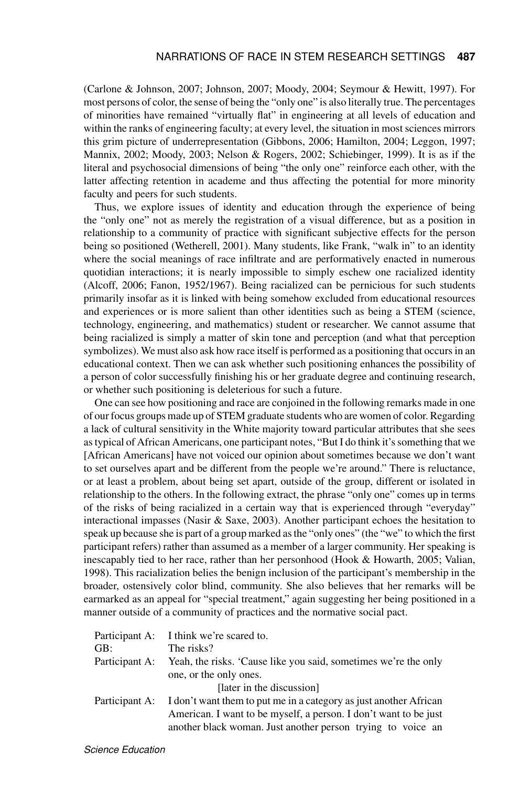(Carlone & Johnson, 2007; Johnson, 2007; Moody, 2004; Seymour & Hewitt, 1997). For most persons of color, the sense of being the "only one" is also literally true. The percentages of minorities have remained "virtually flat" in engineering at all levels of education and within the ranks of engineering faculty; at every level, the situation in most sciences mirrors this grim picture of underrepresentation (Gibbons, 2006; Hamilton, 2004; Leggon, 1997; Mannix, 2002; Moody, 2003; Nelson & Rogers, 2002; Schiebinger, 1999). It is as if the literal and psychosocial dimensions of being "the only one" reinforce each other, with the latter affecting retention in academe and thus affecting the potential for more minority faculty and peers for such students.

Thus, we explore issues of identity and education through the experience of being the "only one" not as merely the registration of a visual difference, but as a position in relationship to a community of practice with significant subjective effects for the person being so positioned (Wetherell, 2001). Many students, like Frank, "walk in" to an identity where the social meanings of race infiltrate and are performatively enacted in numerous quotidian interactions; it is nearly impossible to simply eschew one racialized identity (Alcoff, 2006; Fanon, 1952/1967). Being racialized can be pernicious for such students primarily insofar as it is linked with being somehow excluded from educational resources and experiences or is more salient than other identities such as being a STEM (science, technology, engineering, and mathematics) student or researcher. We cannot assume that being racialized is simply a matter of skin tone and perception (and what that perception symbolizes). We must also ask how race itself is performed as a positioning that occurs in an educational context. Then we can ask whether such positioning enhances the possibility of a person of color successfully finishing his or her graduate degree and continuing research, or whether such positioning is deleterious for such a future.

One can see how positioning and race are conjoined in the following remarks made in one of our focus groups made up of STEM graduate students who are women of color. Regarding a lack of cultural sensitivity in the White majority toward particular attributes that she sees as typical of African Americans, one participant notes, "But I do think it's something that we [African Americans] have not voiced our opinion about sometimes because we don't want to set ourselves apart and be different from the people we're around." There is reluctance, or at least a problem, about being set apart, outside of the group, different or isolated in relationship to the others. In the following extract, the phrase "only one" comes up in terms of the risks of being racialized in a certain way that is experienced through "everyday" interactional impasses (Nasir & Saxe, 2003). Another participant echoes the hesitation to speak up because she is part of a group marked as the "only ones" (the "we" to which the first participant refers) rather than assumed as a member of a larger community. Her speaking is inescapably tied to her race, rather than her personhood (Hook & Howarth, 2005; Valian, 1998). This racialization belies the benign inclusion of the participant's membership in the broader, ostensively color blind, community. She also believes that her remarks will be earmarked as an appeal for "special treatment," again suggesting her being positioned in a manner outside of a community of practices and the normative social pact.

|                | Participant A: I think we're scared to.                                                                                                                                                                             |
|----------------|---------------------------------------------------------------------------------------------------------------------------------------------------------------------------------------------------------------------|
| GB:            | The risks?                                                                                                                                                                                                          |
| Participant A: | Yeah, the risks. 'Cause like you said, sometimes we're the only                                                                                                                                                     |
|                | one, or the only ones.                                                                                                                                                                                              |
|                | [later in the discussion]                                                                                                                                                                                           |
|                | Participant A: I don't want them to put me in a category as just another African<br>American. I want to be myself, a person. I don't want to be just<br>another black woman. Just another person trying to voice an |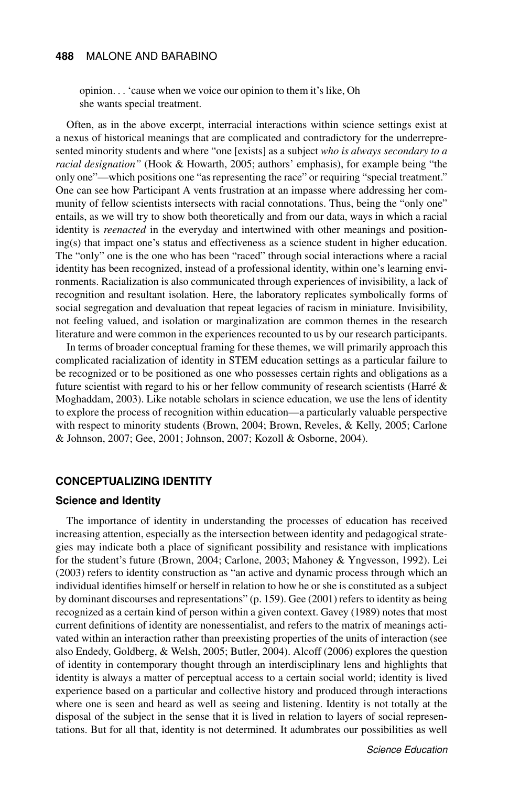opinion. . . 'cause when we voice our opinion to them it's like, Oh she wants special treatment.

Often, as in the above excerpt, interracial interactions within science settings exist at a nexus of historical meanings that are complicated and contradictory for the underrepresented minority students and where "one [exists] as a subject *who is always secondary to a racial designation"* (Hook & Howarth, 2005; authors' emphasis), for example being "the only one"—which positions one "as representing the race" or requiring "special treatment." One can see how Participant A vents frustration at an impasse where addressing her community of fellow scientists intersects with racial connotations. Thus, being the "only one" entails, as we will try to show both theoretically and from our data, ways in which a racial identity is *reenacted* in the everyday and intertwined with other meanings and positioning(s) that impact one's status and effectiveness as a science student in higher education. The "only" one is the one who has been "raced" through social interactions where a racial identity has been recognized, instead of a professional identity, within one's learning environments. Racialization is also communicated through experiences of invisibility, a lack of recognition and resultant isolation. Here, the laboratory replicates symbolically forms of social segregation and devaluation that repeat legacies of racism in miniature. Invisibility, not feeling valued, and isolation or marginalization are common themes in the research literature and were common in the experiences recounted to us by our research participants.

In terms of broader conceptual framing for these themes, we will primarily approach this complicated racialization of identity in STEM education settings as a particular failure to be recognized or to be positioned as one who possesses certain rights and obligations as a future scientist with regard to his or her fellow community of research scientists (Harré  $\&$ Moghaddam, 2003). Like notable scholars in science education, we use the lens of identity to explore the process of recognition within education—a particularly valuable perspective with respect to minority students (Brown, 2004; Brown, Reveles, & Kelly, 2005; Carlone & Johnson, 2007; Gee, 2001; Johnson, 2007; Kozoll & Osborne, 2004).

## **CONCEPTUALIZING IDENTITY**

#### **Science and Identity**

The importance of identity in understanding the processes of education has received increasing attention, especially as the intersection between identity and pedagogical strategies may indicate both a place of significant possibility and resistance with implications for the student's future (Brown, 2004; Carlone, 2003; Mahoney & Yngvesson, 1992). Lei (2003) refers to identity construction as "an active and dynamic process through which an individual identifies himself or herself in relation to how he or she is constituted as a subject by dominant discourses and representations" (p. 159). Gee (2001) refers to identity as being recognized as a certain kind of person within a given context. Gavey (1989) notes that most current definitions of identity are nonessentialist, and refers to the matrix of meanings activated within an interaction rather than preexisting properties of the units of interaction (see also Endedy, Goldberg, & Welsh, 2005; Butler, 2004). Alcoff (2006) explores the question of identity in contemporary thought through an interdisciplinary lens and highlights that identity is always a matter of perceptual access to a certain social world; identity is lived experience based on a particular and collective history and produced through interactions where one is seen and heard as well as seeing and listening. Identity is not totally at the disposal of the subject in the sense that it is lived in relation to layers of social representations. But for all that, identity is not determined. It adumbrates our possibilities as well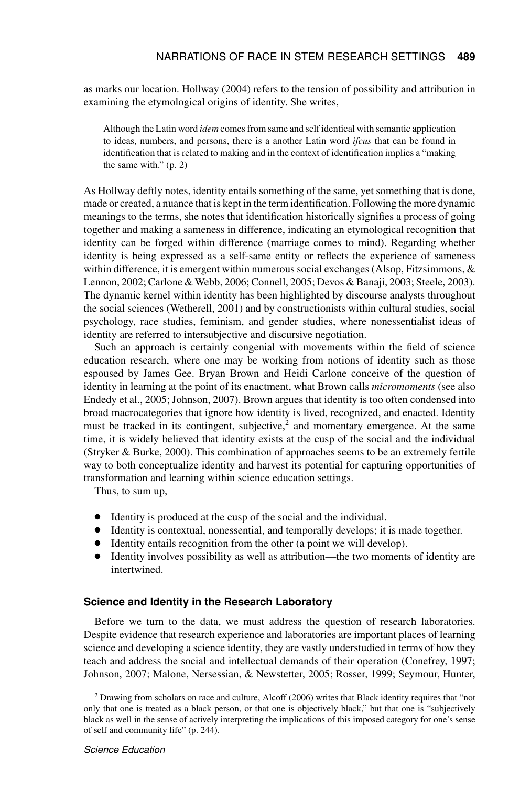as marks our location. Hollway (2004) refers to the tension of possibility and attribution in examining the etymological origins of identity. She writes,

Although the Latin word *idem* comes from same and self identical with semantic application to ideas, numbers, and persons, there is a another Latin word *ifcus* that can be found in identification that is related to making and in the context of identification implies a "making the same with." (p. 2)

As Hollway deftly notes, identity entails something of the same, yet something that is done, made or created, a nuance that is kept in the term identification. Following the more dynamic meanings to the terms, she notes that identification historically signifies a process of going together and making a sameness in difference, indicating an etymological recognition that identity can be forged within difference (marriage comes to mind). Regarding whether identity is being expressed as a self-same entity or reflects the experience of sameness within difference, it is emergent within numerous social exchanges (Alsop, Fitzsimmons,  $\&$ Lennon, 2002; Carlone & Webb, 2006; Connell, 2005; Devos & Banaji, 2003; Steele, 2003). The dynamic kernel within identity has been highlighted by discourse analysts throughout the social sciences (Wetherell, 2001) and by constructionists within cultural studies, social psychology, race studies, feminism, and gender studies, where nonessentialist ideas of identity are referred to intersubjective and discursive negotiation.

Such an approach is certainly congenial with movements within the field of science education research, where one may be working from notions of identity such as those espoused by James Gee. Bryan Brown and Heidi Carlone conceive of the question of identity in learning at the point of its enactment, what Brown calls *micromoments* (see also Endedy et al., 2005; Johnson, 2007). Brown argues that identity is too often condensed into broad macrocategories that ignore how identity is lived, recognized, and enacted. Identity must be tracked in its contingent, subjective,<sup>2</sup> and momentary emergence. At the same time, it is widely believed that identity exists at the cusp of the social and the individual (Stryker & Burke, 2000). This combination of approaches seems to be an extremely fertile way to both conceptualize identity and harvest its potential for capturing opportunities of transformation and learning within science education settings.

Thus, to sum up,

- Identity is produced at the cusp of the social and the individual.
- Identity is contextual, nonessential, and temporally develops; it is made together.
- Identity entails recognition from the other (a point we will develop).
- Identity involves possibility as well as attribution—the two moments of identity are intertwined.

#### **Science and Identity in the Research Laboratory**

Before we turn to the data, we must address the question of research laboratories. Despite evidence that research experience and laboratories are important places of learning science and developing a science identity, they are vastly understudied in terms of how they teach and address the social and intellectual demands of their operation (Conefrey, 1997; Johnson, 2007; Malone, Nersessian, & Newstetter, 2005; Rosser, 1999; Seymour, Hunter,

 $2$  Drawing from scholars on race and culture, Alcoff (2006) writes that Black identity requires that "not only that one is treated as a black person, or that one is objectively black," but that one is "subjectively black as well in the sense of actively interpreting the implications of this imposed category for one's sense of self and community life" (p. 244).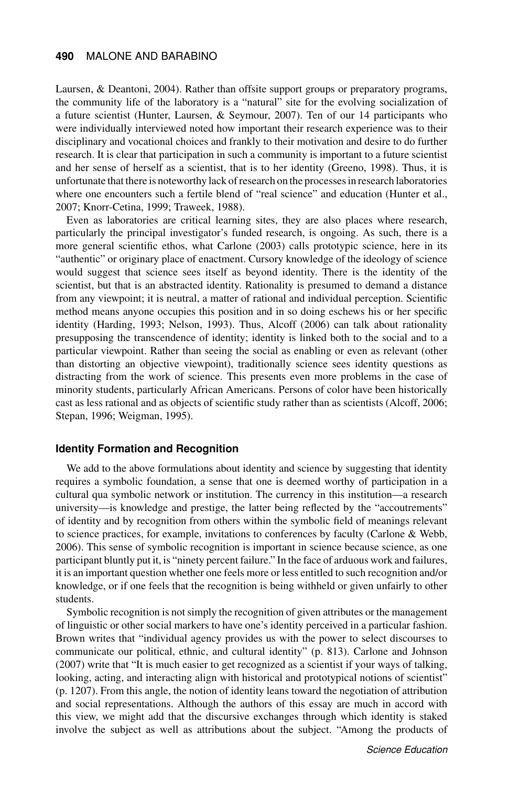Laursen, & Deantoni, 2004). Rather than offsite support groups or preparatory programs, the community life of the laboratory is a "natural" site for the evolving socialization of a future scientist (Hunter, Laursen, & Seymour, 2007). Ten of our 14 participants who were individually interviewed noted how important their research experience was to their disciplinary and vocational choices and frankly to their motivation and desire to do further research. It is clear that participation in such a community is important to a future scientist and her sense of herself as a scientist, that is to her identity (Greeno, 1998). Thus, it is unfortunate that there is noteworthy lack of research on the processes in research laboratories where one encounters such a fertile blend of "real science" and education (Hunter et al., 2007; Knorr-Cetina, 1999; Traweek, 1988).

Even as laboratories are critical learning sites, they are also places where research, particularly the principal investigator's funded research, is ongoing. As such, there is a more general scientific ethos, what Carlone (2003) calls prototypic science, here in its "authentic" or originary place of enactment. Cursory knowledge of the ideology of science would suggest that science sees itself as beyond identity. There is the identity of the scientist, but that is an abstracted identity. Rationality is presumed to demand a distance from any viewpoint; it is neutral, a matter of rational and individual perception. Scientific method means anyone occupies this position and in so doing eschews his or her specific identity (Harding, 1993; Nelson, 1993). Thus, Alcoff (2006) can talk about rationality presupposing the transcendence of identity; identity is linked both to the social and to a particular viewpoint. Rather than seeing the social as enabling or even as relevant (other than distorting an objective viewpoint), traditionally science sees identity questions as distracting from the work of science. This presents even more problems in the case of minority students, particularly African Americans. Persons of color have been historically cast as less rational and as objects of scientific study rather than as scientists (Alcoff, 2006; Stepan, 1996; Weigman, 1995).

#### **Identity Formation and Recognition**

We add to the above formulations about identity and science by suggesting that identity requires a symbolic foundation, a sense that one is deemed worthy of participation in a cultural qua symbolic network or institution. The currency in this institution—a research university—is knowledge and prestige, the latter being reflected by the "accoutrements" of identity and by recognition from others within the symbolic field of meanings relevant to science practices, for example, invitations to conferences by faculty (Carlone & Webb, 2006). This sense of symbolic recognition is important in science because science, as one participant bluntly put it, is "ninety percent failure." In the face of arduous work and failures, it is an important question whether one feels more or less entitled to such recognition and/or knowledge, or if one feels that the recognition is being withheld or given unfairly to other students.

Symbolic recognition is not simply the recognition of given attributes or the management of linguistic or other social markers to have one's identity perceived in a particular fashion. Brown writes that "individual agency provides us with the power to select discourses to communicate our political, ethnic, and cultural identity" (p. 813). Carlone and Johnson (2007) write that "It is much easier to get recognized as a scientist if your ways of talking, looking, acting, and interacting align with historical and prototypical notions of scientist" (p. 1207). From this angle, the notion of identity leans toward the negotiation of attribution and social representations. Although the authors of this essay are much in accord with this view, we might add that the discursive exchanges through which identity is staked involve the subject as well as attributions about the subject. "Among the products of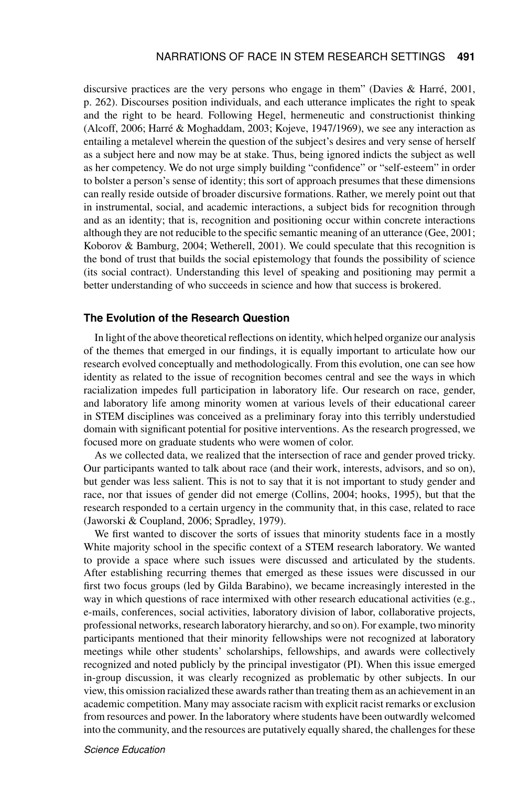discursive practices are the very persons who engage in them" (Davies  $\&$  Harré, 2001, p. 262). Discourses position individuals, and each utterance implicates the right to speak and the right to be heard. Following Hegel, hermeneutic and constructionist thinking (Alcoff, 2006; Harré & Moghaddam, 2003; Kojeve, 1947/1969), we see any interaction as entailing a metalevel wherein the question of the subject's desires and very sense of herself as a subject here and now may be at stake. Thus, being ignored indicts the subject as well as her competency. We do not urge simply building "confidence" or "self-esteem" in order to bolster a person's sense of identity; this sort of approach presumes that these dimensions can really reside outside of broader discursive formations. Rather, we merely point out that in instrumental, social, and academic interactions, a subject bids for recognition through and as an identity; that is, recognition and positioning occur within concrete interactions although they are not reducible to the specific semantic meaning of an utterance (Gee, 2001; Koborov & Bamburg, 2004; Wetherell, 2001). We could speculate that this recognition is the bond of trust that builds the social epistemology that founds the possibility of science (its social contract). Understanding this level of speaking and positioning may permit a better understanding of who succeeds in science and how that success is brokered.

#### **The Evolution of the Research Question**

In light of the above theoretical reflections on identity, which helped organize our analysis of the themes that emerged in our findings, it is equally important to articulate how our research evolved conceptually and methodologically. From this evolution, one can see how identity as related to the issue of recognition becomes central and see the ways in which racialization impedes full participation in laboratory life. Our research on race, gender, and laboratory life among minority women at various levels of their educational career in STEM disciplines was conceived as a preliminary foray into this terribly understudied domain with significant potential for positive interventions. As the research progressed, we focused more on graduate students who were women of color.

As we collected data, we realized that the intersection of race and gender proved tricky. Our participants wanted to talk about race (and their work, interests, advisors, and so on), but gender was less salient. This is not to say that it is not important to study gender and race, nor that issues of gender did not emerge (Collins, 2004; hooks, 1995), but that the research responded to a certain urgency in the community that, in this case, related to race (Jaworski & Coupland, 2006; Spradley, 1979).

We first wanted to discover the sorts of issues that minority students face in a mostly White majority school in the specific context of a STEM research laboratory. We wanted to provide a space where such issues were discussed and articulated by the students. After establishing recurring themes that emerged as these issues were discussed in our first two focus groups (led by Gilda Barabino), we became increasingly interested in the way in which questions of race intermixed with other research educational activities (e.g., e-mails, conferences, social activities, laboratory division of labor, collaborative projects, professional networks, research laboratory hierarchy, and so on). For example, two minority participants mentioned that their minority fellowships were not recognized at laboratory meetings while other students' scholarships, fellowships, and awards were collectively recognized and noted publicly by the principal investigator (PI). When this issue emerged in-group discussion, it was clearly recognized as problematic by other subjects. In our view, this omission racialized these awards rather than treating them as an achievement in an academic competition. Many may associate racism with explicit racist remarks or exclusion from resources and power. In the laboratory where students have been outwardly welcomed into the community, and the resources are putatively equally shared, the challenges for these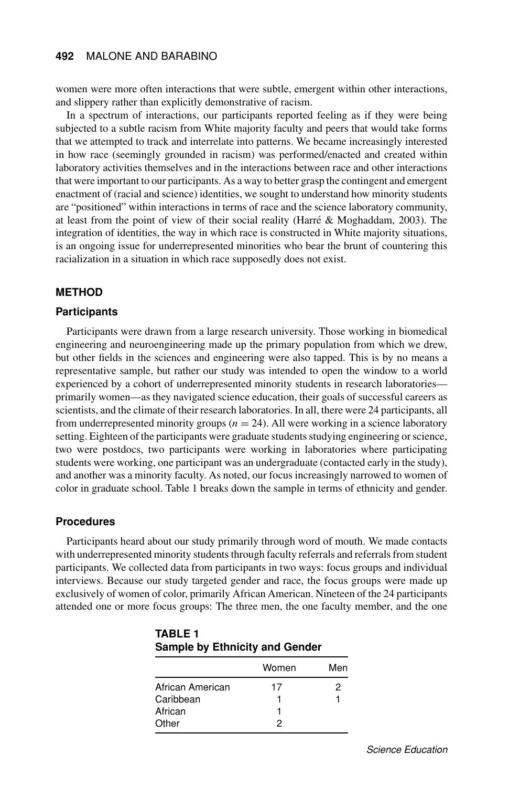women were more often interactions that were subtle, emergent within other interactions, and slippery rather than explicitly demonstrative of racism.

In a spectrum of interactions, our participants reported feeling as if they were being subjected to a subtle racism from White majority faculty and peers that would take forms that we attempted to track and interrelate into patterns. We became increasingly interested in how race (seemingly grounded in racism) was performed/enacted and created within laboratory activities themselves and in the interactions between race and other interactions that were important to our participants. As a way to better grasp the contingent and emergent enactment of (racial and science) identities, we sought to understand how minority students are "positioned" within interactions in terms of race and the science laboratory community, at least from the point of view of their social reality (Harré  $\&$  Moghaddam, 2003). The integration of identities, the way in which race is constructed in White majority situations, is an ongoing issue for underrepresented minorities who bear the brunt of countering this racialization in a situation in which race supposedly does not exist.

#### **METHOD**

#### **Participants**

Participants were drawn from a large research university. Those working in biomedical engineering and neuroengineering made up the primary population from which we drew, but other fields in the sciences and engineering were also tapped. This is by no means a representative sample, but rather our study was intended to open the window to a world experienced by a cohort of underrepresented minority students in research laboratories primarily women—as they navigated science education, their goals of successful careers as scientists, and the climate of their research laboratories. In all, there were 24 participants, all from underrepresented minority groups (*n* = 24). All were working in a science laboratory setting. Eighteen of the participants were graduate students studying engineering or science, two were postdocs, two participants were working in laboratories where participating students were working, one participant was an undergraduate (contacted early in the study), and another was a minority faculty. As noted, our focus increasingly narrowed to women of color in graduate school. Table 1 breaks down the sample in terms of ethnicity and gender.

#### **Procedures**

Participants heard about our study primarily through word of mouth. We made contacts with underrepresented minority students through faculty referrals and referrals from student participants. We collected data from participants in two ways: focus groups and individual interviews. Because our study targeted gender and race, the focus groups were made up exclusively of women of color, primarily African American. Nineteen of the 24 participants attended one or more focus groups: The three men, the one faculty member, and the one

| <b>Sample by Ethnicity and Gender</b> |  |
|---------------------------------------|--|
| IABLE I                               |  |

**TABLE 1**

| Women | Men |
|-------|-----|
| 17    | 2   |
|       |     |
|       |     |
| 2     |     |
|       |     |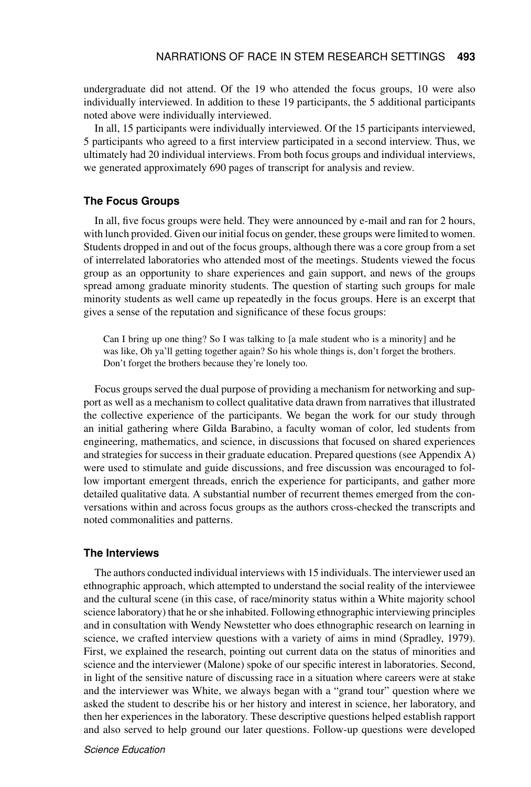undergraduate did not attend. Of the 19 who attended the focus groups, 10 were also individually interviewed. In addition to these 19 participants, the 5 additional participants noted above were individually interviewed.

In all, 15 participants were individually interviewed. Of the 15 participants interviewed, 5 participants who agreed to a first interview participated in a second interview. Thus, we ultimately had 20 individual interviews. From both focus groups and individual interviews, we generated approximately 690 pages of transcript for analysis and review.

#### **The Focus Groups**

In all, five focus groups were held. They were announced by e-mail and ran for 2 hours, with lunch provided. Given our initial focus on gender, these groups were limited to women. Students dropped in and out of the focus groups, although there was a core group from a set of interrelated laboratories who attended most of the meetings. Students viewed the focus group as an opportunity to share experiences and gain support, and news of the groups spread among graduate minority students. The question of starting such groups for male minority students as well came up repeatedly in the focus groups. Here is an excerpt that gives a sense of the reputation and significance of these focus groups:

Can I bring up one thing? So I was talking to [a male student who is a minority] and he was like, Oh ya'll getting together again? So his whole things is, don't forget the brothers. Don't forget the brothers because they're lonely too.

Focus groups served the dual purpose of providing a mechanism for networking and support as well as a mechanism to collect qualitative data drawn from narratives that illustrated the collective experience of the participants. We began the work for our study through an initial gathering where Gilda Barabino, a faculty woman of color, led students from engineering, mathematics, and science, in discussions that focused on shared experiences and strategies for success in their graduate education. Prepared questions (see Appendix A) were used to stimulate and guide discussions, and free discussion was encouraged to follow important emergent threads, enrich the experience for participants, and gather more detailed qualitative data. A substantial number of recurrent themes emerged from the conversations within and across focus groups as the authors cross-checked the transcripts and noted commonalities and patterns.

## **The Interviews**

The authors conducted individual interviews with 15 individuals. The interviewer used an ethnographic approach, which attempted to understand the social reality of the interviewee and the cultural scene (in this case, of race/minority status within a White majority school science laboratory) that he or she inhabited. Following ethnographic interviewing principles and in consultation with Wendy Newstetter who does ethnographic research on learning in science, we crafted interview questions with a variety of aims in mind (Spradley, 1979). First, we explained the research, pointing out current data on the status of minorities and science and the interviewer (Malone) spoke of our specific interest in laboratories. Second, in light of the sensitive nature of discussing race in a situation where careers were at stake and the interviewer was White, we always began with a "grand tour" question where we asked the student to describe his or her history and interest in science, her laboratory, and then her experiences in the laboratory. These descriptive questions helped establish rapport and also served to help ground our later questions. Follow-up questions were developed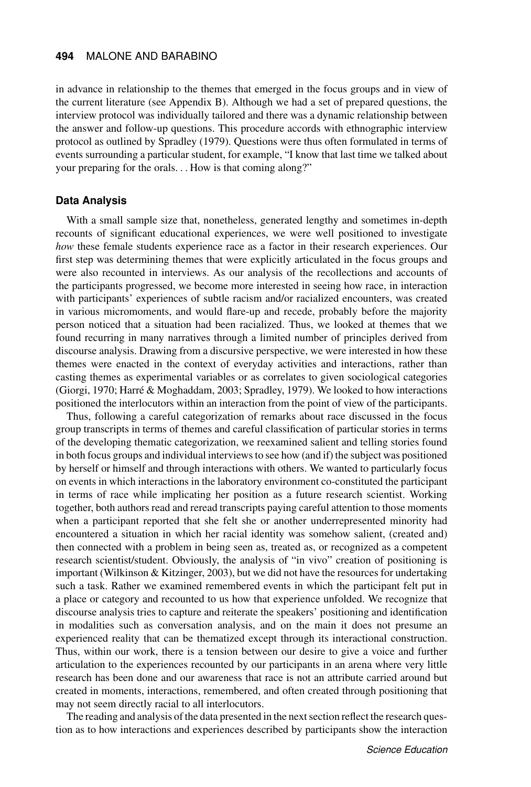in advance in relationship to the themes that emerged in the focus groups and in view of the current literature (see Appendix B). Although we had a set of prepared questions, the interview protocol was individually tailored and there was a dynamic relationship between the answer and follow-up questions. This procedure accords with ethnographic interview protocol as outlined by Spradley (1979). Questions were thus often formulated in terms of events surrounding a particular student, for example, "I know that last time we talked about your preparing for the orals. . . How is that coming along?"

#### **Data Analysis**

With a small sample size that, nonetheless, generated lengthy and sometimes in-depth recounts of significant educational experiences, we were well positioned to investigate *how* these female students experience race as a factor in their research experiences. Our first step was determining themes that were explicitly articulated in the focus groups and were also recounted in interviews. As our analysis of the recollections and accounts of the participants progressed, we become more interested in seeing how race, in interaction with participants' experiences of subtle racism and/or racialized encounters, was created in various micromoments, and would flare-up and recede, probably before the majority person noticed that a situation had been racialized. Thus, we looked at themes that we found recurring in many narratives through a limited number of principles derived from discourse analysis. Drawing from a discursive perspective, we were interested in how these themes were enacted in the context of everyday activities and interactions, rather than casting themes as experimental variables or as correlates to given sociological categories (Giorgi, 1970; Harre & Moghaddam, 2003; Spradley, 1979). We looked to how interactions ´ positioned the interlocutors within an interaction from the point of view of the participants.

Thus, following a careful categorization of remarks about race discussed in the focus group transcripts in terms of themes and careful classification of particular stories in terms of the developing thematic categorization, we reexamined salient and telling stories found in both focus groups and individual interviews to see how (and if) the subject was positioned by herself or himself and through interactions with others. We wanted to particularly focus on events in which interactions in the laboratory environment co-constituted the participant in terms of race while implicating her position as a future research scientist. Working together, both authors read and reread transcripts paying careful attention to those moments when a participant reported that she felt she or another underrepresented minority had encountered a situation in which her racial identity was somehow salient, (created and) then connected with a problem in being seen as, treated as, or recognized as a competent research scientist/student. Obviously, the analysis of "in vivo" creation of positioning is important (Wilkinson & Kitzinger, 2003), but we did not have the resources for undertaking such a task. Rather we examined remembered events in which the participant felt put in a place or category and recounted to us how that experience unfolded. We recognize that discourse analysis tries to capture and reiterate the speakers' positioning and identification in modalities such as conversation analysis, and on the main it does not presume an experienced reality that can be thematized except through its interactional construction. Thus, within our work, there is a tension between our desire to give a voice and further articulation to the experiences recounted by our participants in an arena where very little research has been done and our awareness that race is not an attribute carried around but created in moments, interactions, remembered, and often created through positioning that may not seem directly racial to all interlocutors.

The reading and analysis of the data presented in the next section reflect the research question as to how interactions and experiences described by participants show the interaction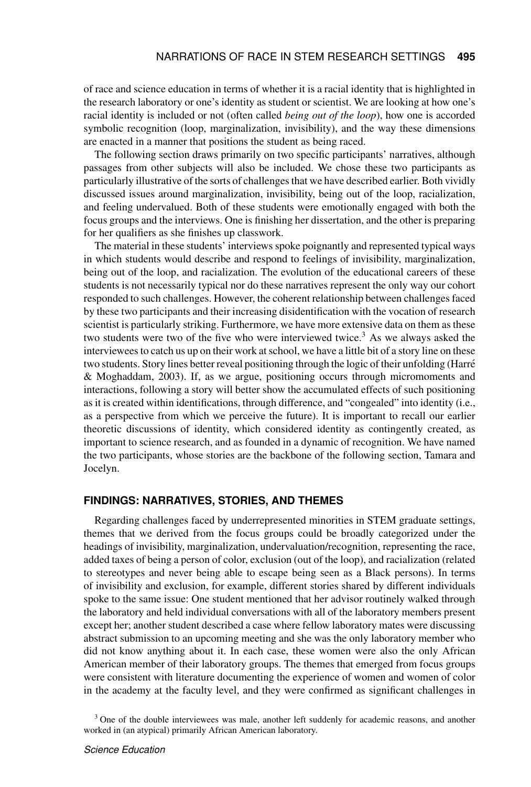of race and science education in terms of whether it is a racial identity that is highlighted in the research laboratory or one's identity as student or scientist. We are looking at how one's racial identity is included or not (often called *being out of the loop*), how one is accorded symbolic recognition (loop, marginalization, invisibility), and the way these dimensions are enacted in a manner that positions the student as being raced.

The following section draws primarily on two specific participants' narratives, although passages from other subjects will also be included. We chose these two participants as particularly illustrative of the sorts of challenges that we have described earlier. Both vividly discussed issues around marginalization, invisibility, being out of the loop, racialization, and feeling undervalued. Both of these students were emotionally engaged with both the focus groups and the interviews. One is finishing her dissertation, and the other is preparing for her qualifiers as she finishes up classwork.

The material in these students' interviews spoke poignantly and represented typical ways in which students would describe and respond to feelings of invisibility, marginalization, being out of the loop, and racialization. The evolution of the educational careers of these students is not necessarily typical nor do these narratives represent the only way our cohort responded to such challenges. However, the coherent relationship between challenges faced by these two participants and their increasing disidentification with the vocation of research scientist is particularly striking. Furthermore, we have more extensive data on them as these two students were two of the five who were interviewed twice.<sup>3</sup> As we always asked the interviewees to catch us up on their work at school, we have a little bit of a story line on these two students. Story lines better reveal positioning through the logic of their unfolding (Harre´ & Moghaddam, 2003). If, as we argue, positioning occurs through micromoments and interactions, following a story will better show the accumulated effects of such positioning as it is created within identifications, through difference, and "congealed" into identity (i.e., as a perspective from which we perceive the future). It is important to recall our earlier theoretic discussions of identity, which considered identity as contingently created, as important to science research, and as founded in a dynamic of recognition. We have named the two participants, whose stories are the backbone of the following section, Tamara and Jocelyn.

#### **FINDINGS: NARRATIVES, STORIES, AND THEMES**

Regarding challenges faced by underrepresented minorities in STEM graduate settings, themes that we derived from the focus groups could be broadly categorized under the headings of invisibility, marginalization, undervaluation/recognition, representing the race, added taxes of being a person of color, exclusion (out of the loop), and racialization (related to stereotypes and never being able to escape being seen as a Black persons). In terms of invisibility and exclusion, for example, different stories shared by different individuals spoke to the same issue: One student mentioned that her advisor routinely walked through the laboratory and held individual conversations with all of the laboratory members present except her; another student described a case where fellow laboratory mates were discussing abstract submission to an upcoming meeting and she was the only laboratory member who did not know anything about it. In each case, these women were also the only African American member of their laboratory groups. The themes that emerged from focus groups were consistent with literature documenting the experience of women and women of color in the academy at the faculty level, and they were confirmed as significant challenges in

<sup>&</sup>lt;sup>3</sup> One of the double interviewees was male, another left suddenly for academic reasons, and another worked in (an atypical) primarily African American laboratory.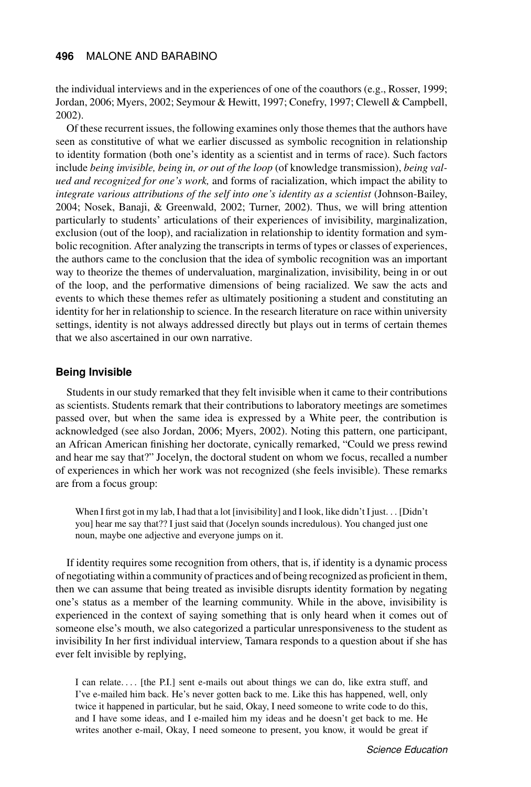the individual interviews and in the experiences of one of the coauthors (e.g., Rosser, 1999; Jordan, 2006; Myers, 2002; Seymour & Hewitt, 1997; Conefry, 1997; Clewell & Campbell, 2002).

Of these recurrent issues, the following examines only those themes that the authors have seen as constitutive of what we earlier discussed as symbolic recognition in relationship to identity formation (both one's identity as a scientist and in terms of race). Such factors include *being invisible, being in, or out of the loop* (of knowledge transmission), *being valued and recognized for one's work,* and forms of racialization, which impact the ability to *integrate various attributions of the self into one's identity as a scientist* (Johnson-Bailey, 2004; Nosek, Banaji, & Greenwald, 2002; Turner, 2002). Thus, we will bring attention particularly to students' articulations of their experiences of invisibility, marginalization, exclusion (out of the loop), and racialization in relationship to identity formation and symbolic recognition. After analyzing the transcripts in terms of types or classes of experiences, the authors came to the conclusion that the idea of symbolic recognition was an important way to theorize the themes of undervaluation, marginalization, invisibility, being in or out of the loop, and the performative dimensions of being racialized. We saw the acts and events to which these themes refer as ultimately positioning a student and constituting an identity for her in relationship to science. In the research literature on race within university settings, identity is not always addressed directly but plays out in terms of certain themes that we also ascertained in our own narrative.

# **Being Invisible**

Students in our study remarked that they felt invisible when it came to their contributions as scientists. Students remark that their contributions to laboratory meetings are sometimes passed over, but when the same idea is expressed by a White peer, the contribution is acknowledged (see also Jordan, 2006; Myers, 2002). Noting this pattern, one participant, an African American finishing her doctorate, cynically remarked, "Could we press rewind and hear me say that?" Jocelyn, the doctoral student on whom we focus, recalled a number of experiences in which her work was not recognized (she feels invisible). These remarks are from a focus group:

When I first got in my lab, I had that a lot [invisibility] and I look, like didn't I just. . . [Didn't you] hear me say that?? I just said that (Jocelyn sounds incredulous). You changed just one noun, maybe one adjective and everyone jumps on it.

If identity requires some recognition from others, that is, if identity is a dynamic process of negotiating within a community of practices and of being recognized as proficient in them, then we can assume that being treated as invisible disrupts identity formation by negating one's status as a member of the learning community. While in the above, invisibility is experienced in the context of saying something that is only heard when it comes out of someone else's mouth, we also categorized a particular unresponsiveness to the student as invisibility In her first individual interview, Tamara responds to a question about if she has ever felt invisible by replying,

I can relate.... [the P.I.] sent e-mails out about things we can do, like extra stuff, and I've e-mailed him back. He's never gotten back to me. Like this has happened, well, only twice it happened in particular, but he said, Okay, I need someone to write code to do this, and I have some ideas, and I e-mailed him my ideas and he doesn't get back to me. He writes another e-mail, Okay, I need someone to present, you know, it would be great if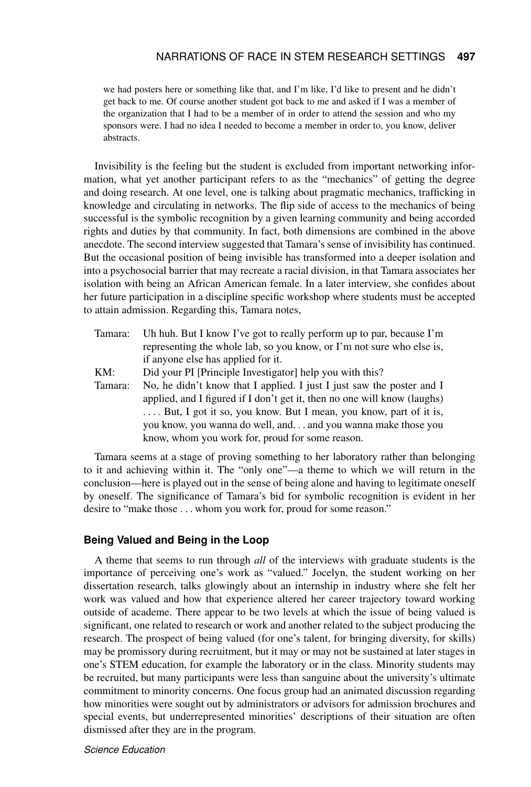we had posters here or something like that, and I'm like, I'd like to present and he didn't get back to me. Of course another student got back to me and asked if I was a member of the organization that I had to be a member of in order to attend the session and who my sponsors were. I had no idea I needed to become a member in order to, you know, deliver abstracts.

Invisibility is the feeling but the student is excluded from important networking information, what yet another participant refers to as the "mechanics" of getting the degree and doing research. At one level, one is talking about pragmatic mechanics, trafficking in knowledge and circulating in networks. The flip side of access to the mechanics of being successful is the symbolic recognition by a given learning community and being accorded rights and duties by that community. In fact, both dimensions are combined in the above anecdote. The second interview suggested that Tamara's sense of invisibility has continued. But the occasional position of being invisible has transformed into a deeper isolation and into a psychosocial barrier that may recreate a racial division, in that Tamara associates her isolation with being an African American female. In a later interview, she confides about her future participation in a discipline specific workshop where students must be accepted to attain admission. Regarding this, Tamara notes,

| Uh huh. But I know I've got to really perform up to par, because I'm     |
|--------------------------------------------------------------------------|
| representing the whole lab, so you know, or I'm not sure who else is,    |
| if anyone else has applied for it.                                       |
| Did your PI [Principle Investigator] help you with this?                 |
| No, he didn't know that I applied. I just I just saw the poster and I    |
| applied, and I figured if I don't get it, then no one will know (laughs) |
| But, I got it so, you know. But I mean, you know, part of it is,         |
| you know, you wanna do well, and and you wanna make those you            |
| know, whom you work for, proud for some reason.                          |
|                                                                          |

Tamara seems at a stage of proving something to her laboratory rather than belonging to it and achieving within it. The "only one"—a theme to which we will return in the conclusion—here is played out in the sense of being alone and having to legitimate oneself by oneself. The significance of Tamara's bid for symbolic recognition is evident in her desire to "make those . . . whom you work for, proud for some reason."

## **Being Valued and Being in the Loop**

A theme that seems to run through *all* of the interviews with graduate students is the importance of perceiving one's work as "valued." Jocelyn, the student working on her dissertation research, talks glowingly about an internship in industry where she felt her work was valued and how that experience altered her career trajectory toward working outside of academe. There appear to be two levels at which the issue of being valued is significant, one related to research or work and another related to the subject producing the research. The prospect of being valued (for one's talent, for bringing diversity, for skills) may be promissory during recruitment, but it may or may not be sustained at later stages in one's STEM education, for example the laboratory or in the class. Minority students may be recruited, but many participants were less than sanguine about the university's ultimate commitment to minority concerns. One focus group had an animated discussion regarding how minorities were sought out by administrators or advisors for admission brochures and special events, but underrepresented minorities' descriptions of their situation are often dismissed after they are in the program.

Science Education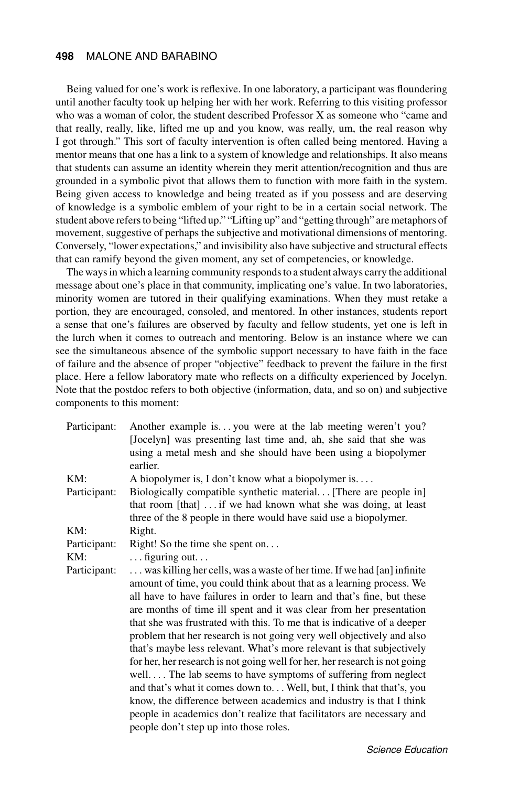Being valued for one's work is reflexive. In one laboratory, a participant was floundering until another faculty took up helping her with her work. Referring to this visiting professor who was a woman of color, the student described Professor X as someone who "came and that really, really, like, lifted me up and you know, was really, um, the real reason why I got through." This sort of faculty intervention is often called being mentored. Having a mentor means that one has a link to a system of knowledge and relationships. It also means that students can assume an identity wherein they merit attention/recognition and thus are grounded in a symbolic pivot that allows them to function with more faith in the system. Being given access to knowledge and being treated as if you possess and are deserving of knowledge is a symbolic emblem of your right to be in a certain social network. The student above refers to being "lifted up." "Lifting up" and "getting through" are metaphors of movement, suggestive of perhaps the subjective and motivational dimensions of mentoring. Conversely, "lower expectations," and invisibility also have subjective and structural effects that can ramify beyond the given moment, any set of competencies, or knowledge.

The ways in which a learning community responds to a student always carry the additional message about one's place in that community, implicating one's value. In two laboratories, minority women are tutored in their qualifying examinations. When they must retake a portion, they are encouraged, consoled, and mentored. In other instances, students report a sense that one's failures are observed by faculty and fellow students, yet one is left in the lurch when it comes to outreach and mentoring. Below is an instance where we can see the simultaneous absence of the symbolic support necessary to have faith in the face of failure and the absence of proper "objective" feedback to prevent the failure in the first place. Here a fellow laboratory mate who reflects on a difficulty experienced by Jocelyn. Note that the postdoc refers to both objective (information, data, and so on) and subjective components to this moment:

| Participant: | Another example is you were at the lab meeting weren't you?<br>[Jocelyn] was presenting last time and, ah, she said that she was<br>using a metal mesh and she should have been using a biopolymer<br>earlier.                                                                                                                                                                                                                                                                                                                                                                                                                                                                                                                                                                                                                                                                                                                                 |
|--------------|------------------------------------------------------------------------------------------------------------------------------------------------------------------------------------------------------------------------------------------------------------------------------------------------------------------------------------------------------------------------------------------------------------------------------------------------------------------------------------------------------------------------------------------------------------------------------------------------------------------------------------------------------------------------------------------------------------------------------------------------------------------------------------------------------------------------------------------------------------------------------------------------------------------------------------------------|
| KM:          | A biopolymer is, I don't know what a biopolymer is                                                                                                                                                                                                                                                                                                                                                                                                                                                                                                                                                                                                                                                                                                                                                                                                                                                                                             |
| Participant: | Biologically compatible synthetic material [There are people in]<br>that room [that]  if we had known what she was doing, at least<br>three of the 8 people in there would have said use a biopolymer.                                                                                                                                                                                                                                                                                                                                                                                                                                                                                                                                                                                                                                                                                                                                         |
| KM:          | Right.                                                                                                                                                                                                                                                                                                                                                                                                                                                                                                                                                                                                                                                                                                                                                                                                                                                                                                                                         |
| Participant: | Right! So the time she spent on                                                                                                                                                                                                                                                                                                                                                                                                                                                                                                                                                                                                                                                                                                                                                                                                                                                                                                                |
| KM:          | $\ldots$ figuring out                                                                                                                                                                                                                                                                                                                                                                                                                                                                                                                                                                                                                                                                                                                                                                                                                                                                                                                          |
| Participant: | was killing her cells, was a waste of her time. If we had [an] infinite<br>amount of time, you could think about that as a learning process. We<br>all have to have failures in order to learn and that's fine, but these<br>are months of time ill spent and it was clear from her presentation<br>that she was frustrated with this. To me that is indicative of a deeper<br>problem that her research is not going very well objectively and also<br>that's maybe less relevant. What's more relevant is that subjectively<br>for her, her research is not going well for her, her research is not going<br>well The lab seems to have symptoms of suffering from neglect<br>and that's what it comes down to Well, but, I think that that's, you<br>know, the difference between academics and industry is that I think<br>people in academics don't realize that facilitators are necessary and<br>people don't step up into those roles. |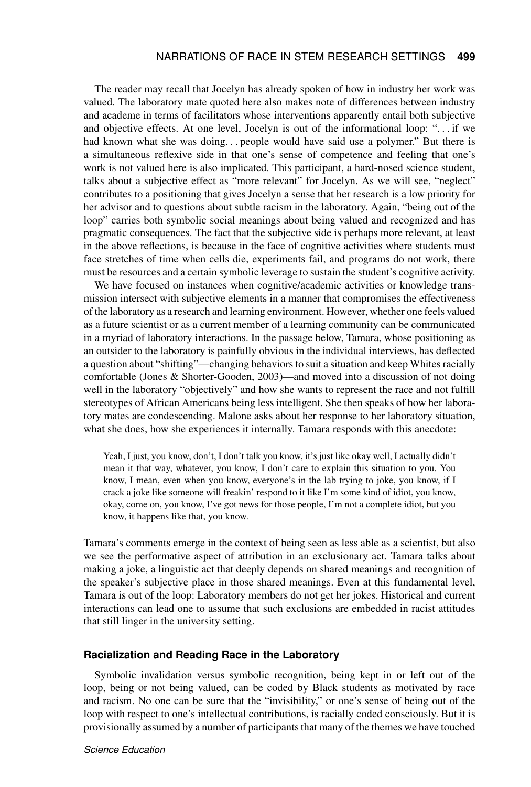The reader may recall that Jocelyn has already spoken of how in industry her work was valued. The laboratory mate quoted here also makes note of differences between industry and academe in terms of facilitators whose interventions apparently entail both subjective and objective effects. At one level, Jocelyn is out of the informational loop: ". . . if we had known what she was doing... people would have said use a polymer." But there is a simultaneous reflexive side in that one's sense of competence and feeling that one's work is not valued here is also implicated. This participant, a hard-nosed science student, talks about a subjective effect as "more relevant" for Jocelyn. As we will see, "neglect" contributes to a positioning that gives Jocelyn a sense that her research is a low priority for her advisor and to questions about subtle racism in the laboratory. Again, "being out of the loop" carries both symbolic social meanings about being valued and recognized and has pragmatic consequences. The fact that the subjective side is perhaps more relevant, at least in the above reflections, is because in the face of cognitive activities where students must face stretches of time when cells die, experiments fail, and programs do not work, there must be resources and a certain symbolic leverage to sustain the student's cognitive activity.

We have focused on instances when cognitive/academic activities or knowledge transmission intersect with subjective elements in a manner that compromises the effectiveness of the laboratory as a research and learning environment. However, whether one feels valued as a future scientist or as a current member of a learning community can be communicated in a myriad of laboratory interactions. In the passage below, Tamara, whose positioning as an outsider to the laboratory is painfully obvious in the individual interviews, has deflected a question about "shifting"—changing behaviors to suit a situation and keep Whites racially comfortable (Jones & Shorter-Gooden, 2003)—and moved into a discussion of not doing well in the laboratory "objectively" and how she wants to represent the race and not fulfill stereotypes of African Americans being less intelligent. She then speaks of how her laboratory mates are condescending. Malone asks about her response to her laboratory situation, what she does, how she experiences it internally. Tamara responds with this anecdote:

Yeah, I just, you know, don't, I don't talk you know, it's just like okay well, I actually didn't mean it that way, whatever, you know, I don't care to explain this situation to you. You know, I mean, even when you know, everyone's in the lab trying to joke, you know, if I crack a joke like someone will freakin' respond to it like I'm some kind of idiot, you know, okay, come on, you know, I've got news for those people, I'm not a complete idiot, but you know, it happens like that, you know.

Tamara's comments emerge in the context of being seen as less able as a scientist, but also we see the performative aspect of attribution in an exclusionary act. Tamara talks about making a joke, a linguistic act that deeply depends on shared meanings and recognition of the speaker's subjective place in those shared meanings. Even at this fundamental level, Tamara is out of the loop: Laboratory members do not get her jokes. Historical and current interactions can lead one to assume that such exclusions are embedded in racist attitudes that still linger in the university setting.

#### **Racialization and Reading Race in the Laboratory**

Symbolic invalidation versus symbolic recognition, being kept in or left out of the loop, being or not being valued, can be coded by Black students as motivated by race and racism. No one can be sure that the "invisibility," or one's sense of being out of the loop with respect to one's intellectual contributions, is racially coded consciously. But it is provisionally assumed by a number of participants that many of the themes we have touched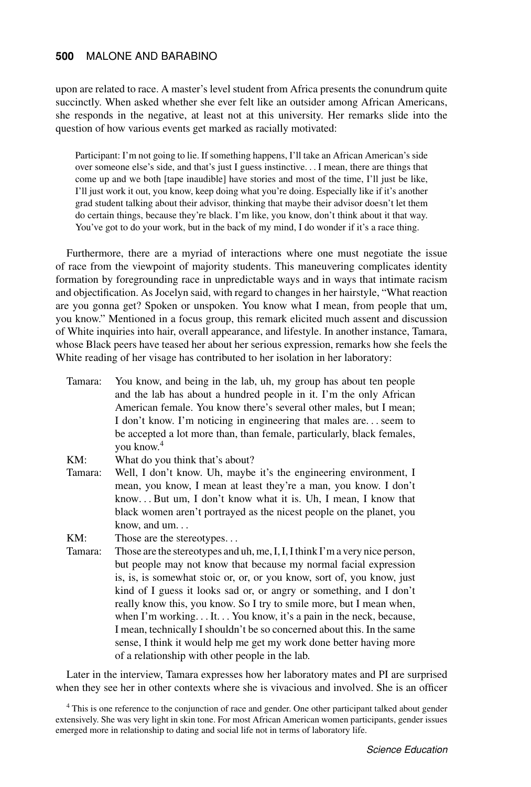upon are related to race. A master's level student from Africa presents the conundrum quite succinctly. When asked whether she ever felt like an outsider among African Americans, she responds in the negative, at least not at this university. Her remarks slide into the question of how various events get marked as racially motivated:

Participant: I'm not going to lie. If something happens, I'll take an African American's side over someone else's side, and that's just I guess instinctive. . . I mean, there are things that come up and we both [tape inaudible] have stories and most of the time, I'll just be like, I'll just work it out, you know, keep doing what you're doing. Especially like if it's another grad student talking about their advisor, thinking that maybe their advisor doesn't let them do certain things, because they're black. I'm like, you know, don't think about it that way. You've got to do your work, but in the back of my mind, I do wonder if it's a race thing.

Furthermore, there are a myriad of interactions where one must negotiate the issue of race from the viewpoint of majority students. This maneuvering complicates identity formation by foregrounding race in unpredictable ways and in ways that intimate racism and objectification. As Jocelyn said, with regard to changes in her hairstyle, "What reaction are you gonna get? Spoken or unspoken. You know what I mean, from people that um, you know." Mentioned in a focus group, this remark elicited much assent and discussion of White inquiries into hair, overall appearance, and lifestyle. In another instance, Tamara, whose Black peers have teased her about her serious expression, remarks how she feels the White reading of her visage has contributed to her isolation in her laboratory:

Tamara: You know, and being in the lab, uh, my group has about ten people and the lab has about a hundred people in it. I'm the only African American female. You know there's several other males, but I mean; I don't know. I'm noticing in engineering that males are. . . seem to be accepted a lot more than, than female, particularly, black females, you know.<sup>4</sup>

KM: What do you think that's about?

Tamara: Well, I don't know. Uh, maybe it's the engineering environment, I mean, you know, I mean at least they're a man, you know. I don't know. . . But um, I don't know what it is. Uh, I mean, I know that black women aren't portrayed as the nicest people on the planet, you know, and um. . .

KM: Those are the stereotypes...

Tamara: Those are the stereotypes and uh, me, I, I, I think I'm a very nice person, but people may not know that because my normal facial expression is, is, is somewhat stoic or, or, or you know, sort of, you know, just kind of I guess it looks sad or, or angry or something, and I don't really know this, you know. So I try to smile more, but I mean when, when I'm working. . . It. . . You know, it's a pain in the neck, because, I mean, technically I shouldn't be so concerned about this. In the same sense, I think it would help me get my work done better having more of a relationship with other people in the lab.

Later in the interview, Tamara expresses how her laboratory mates and PI are surprised when they see her in other contexts where she is vivacious and involved. She is an officer

<sup>4</sup> This is one reference to the conjunction of race and gender. One other participant talked about gender extensively. She was very light in skin tone. For most African American women participants, gender issues emerged more in relationship to dating and social life not in terms of laboratory life.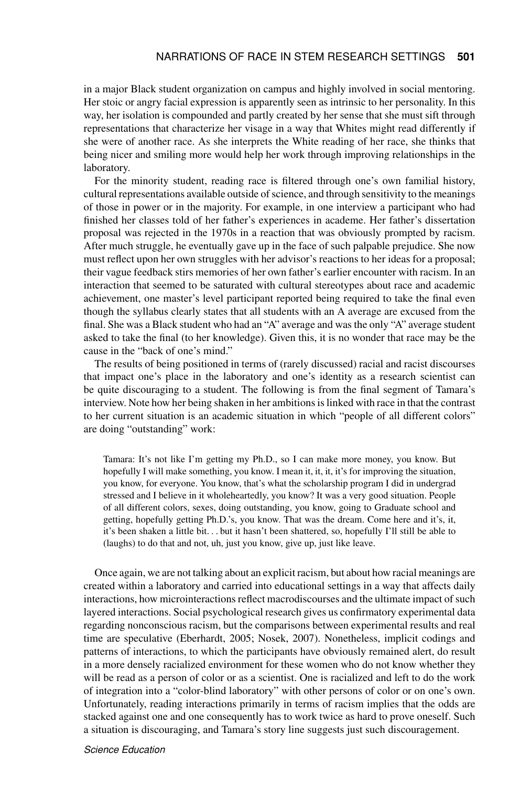in a major Black student organization on campus and highly involved in social mentoring. Her stoic or angry facial expression is apparently seen as intrinsic to her personality. In this way, her isolation is compounded and partly created by her sense that she must sift through representations that characterize her visage in a way that Whites might read differently if she were of another race. As she interprets the White reading of her race, she thinks that being nicer and smiling more would help her work through improving relationships in the laboratory.

For the minority student, reading race is filtered through one's own familial history, cultural representations available outside of science, and through sensitivity to the meanings of those in power or in the majority. For example, in one interview a participant who had finished her classes told of her father's experiences in academe. Her father's dissertation proposal was rejected in the 1970s in a reaction that was obviously prompted by racism. After much struggle, he eventually gave up in the face of such palpable prejudice. She now must reflect upon her own struggles with her advisor's reactions to her ideas for a proposal; their vague feedback stirs memories of her own father's earlier encounter with racism. In an interaction that seemed to be saturated with cultural stereotypes about race and academic achievement, one master's level participant reported being required to take the final even though the syllabus clearly states that all students with an A average are excused from the final. She was a Black student who had an "A" average and was the only "A" average student asked to take the final (to her knowledge). Given this, it is no wonder that race may be the cause in the "back of one's mind."

The results of being positioned in terms of (rarely discussed) racial and racist discourses that impact one's place in the laboratory and one's identity as a research scientist can be quite discouraging to a student. The following is from the final segment of Tamara's interview. Note how her being shaken in her ambitions is linked with race in that the contrast to her current situation is an academic situation in which "people of all different colors" are doing "outstanding" work:

Tamara: It's not like I'm getting my Ph.D., so I can make more money, you know. But hopefully I will make something, you know. I mean it, it, it, it's for improving the situation, you know, for everyone. You know, that's what the scholarship program I did in undergrad stressed and I believe in it wholeheartedly, you know? It was a very good situation. People of all different colors, sexes, doing outstanding, you know, going to Graduate school and getting, hopefully getting Ph.D.'s, you know. That was the dream. Come here and it's, it, it's been shaken a little bit. . . but it hasn't been shattered, so, hopefully I'll still be able to (laughs) to do that and not, uh, just you know, give up, just like leave.

Once again, we are not talking about an explicit racism, but about how racial meanings are created within a laboratory and carried into educational settings in a way that affects daily interactions, how microinteractions reflect macrodiscourses and the ultimate impact of such layered interactions. Social psychological research gives us confirmatory experimental data regarding nonconscious racism, but the comparisons between experimental results and real time are speculative (Eberhardt, 2005; Nosek, 2007). Nonetheless, implicit codings and patterns of interactions, to which the participants have obviously remained alert, do result in a more densely racialized environment for these women who do not know whether they will be read as a person of color or as a scientist. One is racialized and left to do the work of integration into a "color-blind laboratory" with other persons of color or on one's own. Unfortunately, reading interactions primarily in terms of racism implies that the odds are stacked against one and one consequently has to work twice as hard to prove oneself. Such a situation is discouraging, and Tamara's story line suggests just such discouragement.

Science Education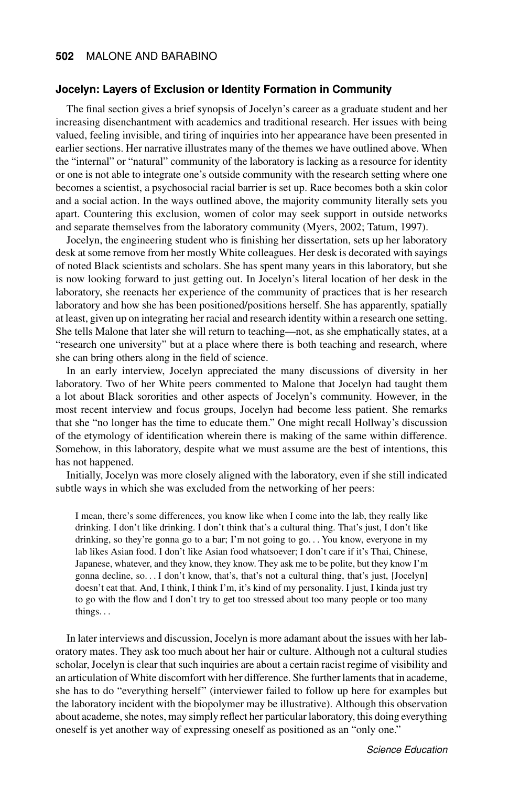#### **Jocelyn: Layers of Exclusion or Identity Formation in Community**

The final section gives a brief synopsis of Jocelyn's career as a graduate student and her increasing disenchantment with academics and traditional research. Her issues with being valued, feeling invisible, and tiring of inquiries into her appearance have been presented in earlier sections. Her narrative illustrates many of the themes we have outlined above. When the "internal" or "natural" community of the laboratory is lacking as a resource for identity or one is not able to integrate one's outside community with the research setting where one becomes a scientist, a psychosocial racial barrier is set up. Race becomes both a skin color and a social action. In the ways outlined above, the majority community literally sets you apart. Countering this exclusion, women of color may seek support in outside networks and separate themselves from the laboratory community (Myers, 2002; Tatum, 1997).

Jocelyn, the engineering student who is finishing her dissertation, sets up her laboratory desk at some remove from her mostly White colleagues. Her desk is decorated with sayings of noted Black scientists and scholars. She has spent many years in this laboratory, but she is now looking forward to just getting out. In Jocelyn's literal location of her desk in the laboratory, she reenacts her experience of the community of practices that is her research laboratory and how she has been positioned/positions herself. She has apparently, spatially at least, given up on integrating her racial and research identity within a research one setting. She tells Malone that later she will return to teaching—not, as she emphatically states, at a "research one university" but at a place where there is both teaching and research, where she can bring others along in the field of science.

In an early interview, Jocelyn appreciated the many discussions of diversity in her laboratory. Two of her White peers commented to Malone that Jocelyn had taught them a lot about Black sororities and other aspects of Jocelyn's community. However, in the most recent interview and focus groups, Jocelyn had become less patient. She remarks that she "no longer has the time to educate them." One might recall Hollway's discussion of the etymology of identification wherein there is making of the same within difference. Somehow, in this laboratory, despite what we must assume are the best of intentions, this has not happened.

Initially, Jocelyn was more closely aligned with the laboratory, even if she still indicated subtle ways in which she was excluded from the networking of her peers:

I mean, there's some differences, you know like when I come into the lab, they really like drinking. I don't like drinking. I don't think that's a cultural thing. That's just, I don't like drinking, so they're gonna go to a bar; I'm not going to go. . . You know, everyone in my lab likes Asian food. I don't like Asian food whatsoever; I don't care if it's Thai, Chinese, Japanese, whatever, and they know, they know. They ask me to be polite, but they know I'm gonna decline, so. . . I don't know, that's, that's not a cultural thing, that's just, [Jocelyn] doesn't eat that. And, I think, I think I'm, it's kind of my personality. I just, I kinda just try to go with the flow and I don't try to get too stressed about too many people or too many things. . .

In later interviews and discussion, Jocelyn is more adamant about the issues with her laboratory mates. They ask too much about her hair or culture. Although not a cultural studies scholar, Jocelyn is clear that such inquiries are about a certain racist regime of visibility and an articulation of White discomfort with her difference. She further laments that in academe, she has to do "everything herself" (interviewer failed to follow up here for examples but the laboratory incident with the biopolymer may be illustrative). Although this observation about academe, she notes, may simply reflect her particular laboratory, this doing everything oneself is yet another way of expressing oneself as positioned as an "only one."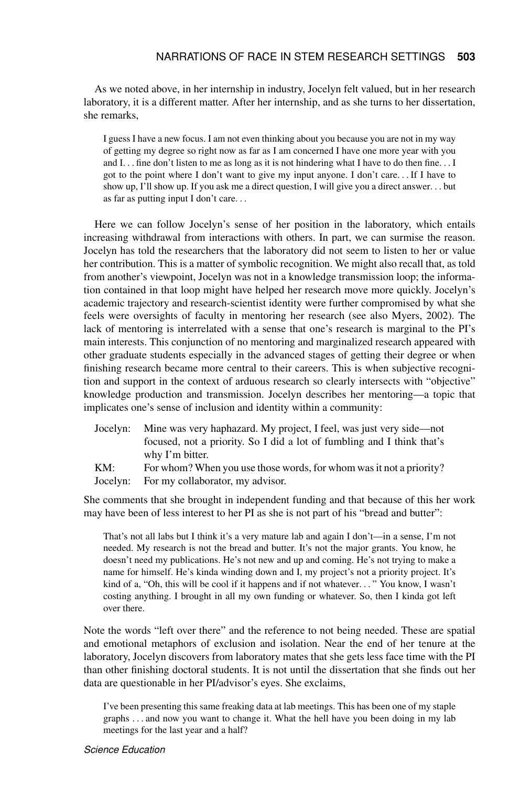As we noted above, in her internship in industry, Jocelyn felt valued, but in her research laboratory, it is a different matter. After her internship, and as she turns to her dissertation, she remarks,

I guess I have a new focus. I am not even thinking about you because you are not in my way of getting my degree so right now as far as I am concerned I have one more year with you and I... fine don't listen to me as long as it is not hindering what I have to do then fine... I got to the point where I don't want to give my input anyone. I don't care. . . If I have to show up, I'll show up. If you ask me a direct question, I will give you a direct answer. . . but as far as putting input I don't care. . .

Here we can follow Jocelyn's sense of her position in the laboratory, which entails increasing withdrawal from interactions with others. In part, we can surmise the reason. Jocelyn has told the researchers that the laboratory did not seem to listen to her or value her contribution. This is a matter of symbolic recognition. We might also recall that, as told from another's viewpoint, Jocelyn was not in a knowledge transmission loop; the information contained in that loop might have helped her research move more quickly. Jocelyn's academic trajectory and research-scientist identity were further compromised by what she feels were oversights of faculty in mentoring her research (see also Myers, 2002). The lack of mentoring is interrelated with a sense that one's research is marginal to the PI's main interests. This conjunction of no mentoring and marginalized research appeared with other graduate students especially in the advanced stages of getting their degree or when finishing research became more central to their careers. This is when subjective recognition and support in the context of arduous research so clearly intersects with "objective" knowledge production and transmission. Jocelyn describes her mentoring—a topic that implicates one's sense of inclusion and identity within a community:

- Jocelyn: Mine was very haphazard. My project, I feel, was just very side—not focused, not a priority. So I did a lot of fumbling and I think that's why I'm bitter.
- KM: For whom? When you use those words, for whom was it not a priority? Jocelyn: For my collaborator, my advisor.

She comments that she brought in independent funding and that because of this her work may have been of less interest to her PI as she is not part of his "bread and butter":

That's not all labs but I think it's a very mature lab and again I don't—in a sense, I'm not needed. My research is not the bread and butter. It's not the major grants. You know, he doesn't need my publications. He's not new and up and coming. He's not trying to make a name for himself. He's kinda winding down and I, my project's not a priority project. It's kind of a, "Oh, this will be cool if it happens and if not whatever. . . " You know, I wasn't costing anything. I brought in all my own funding or whatever. So, then I kinda got left over there.

Note the words "left over there" and the reference to not being needed. These are spatial and emotional metaphors of exclusion and isolation. Near the end of her tenure at the laboratory, Jocelyn discovers from laboratory mates that she gets less face time with the PI than other finishing doctoral students. It is not until the dissertation that she finds out her data are questionable in her PI/advisor's eyes. She exclaims,

I've been presenting this same freaking data at lab meetings. This has been one of my staple graphs . . . and now you want to change it. What the hell have you been doing in my lab meetings for the last year and a half?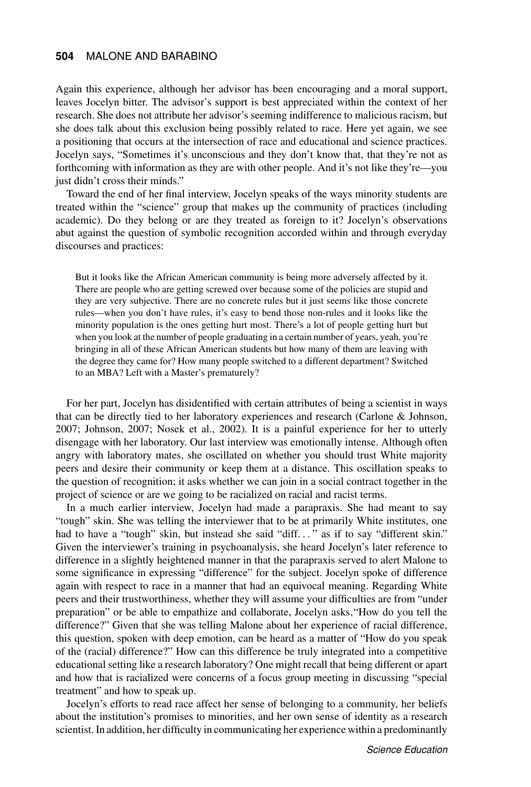Again this experience, although her advisor has been encouraging and a moral support, leaves Jocelyn bitter. The advisor's support is best appreciated within the context of her research. She does not attribute her advisor's seeming indifference to malicious racism, but she does talk about this exclusion being possibly related to race. Here yet again, we see a positioning that occurs at the intersection of race and educational and science practices. Jocelyn says, "Sometimes it's unconscious and they don't know that, that they're not as forthcoming with information as they are with other people. And it's not like they're—you just didn't cross their minds."

Toward the end of her final interview, Jocelyn speaks of the ways minority students are treated within the "science" group that makes up the community of practices (including academic). Do they belong or are they treated as foreign to it? Jocelyn's observations abut against the question of symbolic recognition accorded within and through everyday discourses and practices:

But it looks like the African American community is being more adversely affected by it. There are people who are getting screwed over because some of the policies are stupid and they are very subjective. There are no concrete rules but it just seems like those concrete rules—when you don't have rules, it's easy to bend those non-rules and it looks like the minority population is the ones getting hurt most. There's a lot of people getting hurt but when you look at the number of people graduating in a certain number of years, yeah, you're bringing in all of these African American students but how many of them are leaving with the degree they came for? How many people switched to a different department? Switched to an MBA? Left with a Master's prematurely?

For her part, Jocelyn has disidentified with certain attributes of being a scientist in ways that can be directly tied to her laboratory experiences and research (Carlone & Johnson, 2007; Johnson, 2007; Nosek et al., 2002). It is a painful experience for her to utterly disengage with her laboratory. Our last interview was emotionally intense. Although often angry with laboratory mates, she oscillated on whether you should trust White majority peers and desire their community or keep them at a distance. This oscillation speaks to the question of recognition; it asks whether we can join in a social contract together in the project of science or are we going to be racialized on racial and racist terms.

In a much earlier interview, Jocelyn had made a parapraxis. She had meant to say "tough" skin. She was telling the interviewer that to be at primarily White institutes, one had to have a "tough" skin, but instead she said "diff. . . " as if to say "different skin." Given the interviewer's training in psychoanalysis, she heard Jocelyn's later reference to difference in a slightly heightened manner in that the parapraxis served to alert Malone to some significance in expressing "difference" for the subject. Jocelyn spoke of difference again with respect to race in a manner that had an equivocal meaning. Regarding White peers and their trustworthiness, whether they will assume your difficulties are from "under preparation" or be able to empathize and collaborate, Jocelyn asks*,*"How do you tell the difference?" Given that she was telling Malone about her experience of racial difference, this question, spoken with deep emotion, can be heard as a matter of "How do you speak of the (racial) difference?" How can this difference be truly integrated into a competitive educational setting like a research laboratory? One might recall that being different or apart and how that is racialized were concerns of a focus group meeting in discussing "special treatment" and how to speak up.

Jocelyn's efforts to read race affect her sense of belonging to a community, her beliefs about the institution's promises to minorities, and her own sense of identity as a research scientist. In addition, her difficulty in communicating her experience within a predominantly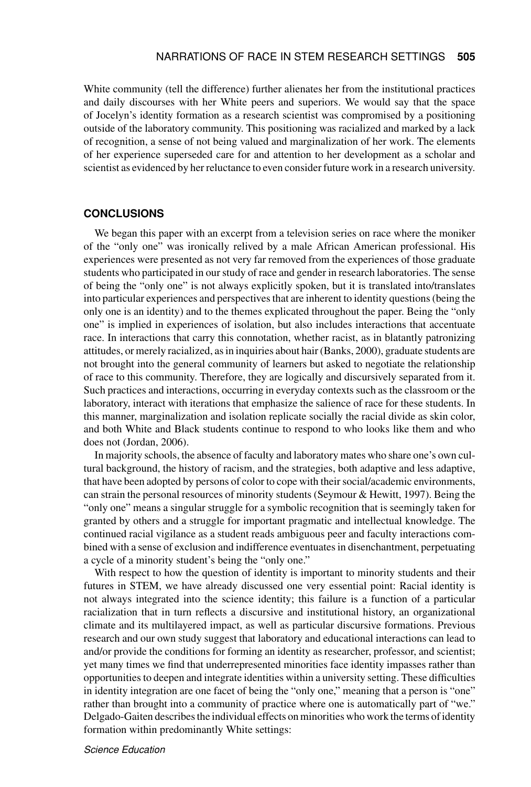White community (tell the difference) further alienates her from the institutional practices and daily discourses with her White peers and superiors. We would say that the space of Jocelyn's identity formation as a research scientist was compromised by a positioning outside of the laboratory community. This positioning was racialized and marked by a lack of recognition, a sense of not being valued and marginalization of her work. The elements of her experience superseded care for and attention to her development as a scholar and scientist as evidenced by her reluctance to even consider future work in a research university.

## **CONCLUSIONS**

We began this paper with an excerpt from a television series on race where the moniker of the "only one" was ironically relived by a male African American professional. His experiences were presented as not very far removed from the experiences of those graduate students who participated in our study of race and gender in research laboratories. The sense of being the "only one" is not always explicitly spoken, but it is translated into/translates into particular experiences and perspectives that are inherent to identity questions (being the only one is an identity) and to the themes explicated throughout the paper. Being the "only one" is implied in experiences of isolation, but also includes interactions that accentuate race. In interactions that carry this connotation, whether racist, as in blatantly patronizing attitudes, or merely racialized, as in inquiries about hair (Banks, 2000), graduate students are not brought into the general community of learners but asked to negotiate the relationship of race to this community. Therefore, they are logically and discursively separated from it. Such practices and interactions, occurring in everyday contexts such as the classroom or the laboratory, interact with iterations that emphasize the salience of race for these students. In this manner, marginalization and isolation replicate socially the racial divide as skin color, and both White and Black students continue to respond to who looks like them and who does not (Jordan, 2006).

In majority schools, the absence of faculty and laboratory mates who share one's own cultural background, the history of racism, and the strategies, both adaptive and less adaptive, that have been adopted by persons of color to cope with their social/academic environments, can strain the personal resources of minority students (Seymour & Hewitt, 1997). Being the "only one" means a singular struggle for a symbolic recognition that is seemingly taken for granted by others and a struggle for important pragmatic and intellectual knowledge. The continued racial vigilance as a student reads ambiguous peer and faculty interactions combined with a sense of exclusion and indifference eventuates in disenchantment, perpetuating a cycle of a minority student's being the "only one."

With respect to how the question of identity is important to minority students and their futures in STEM, we have already discussed one very essential point: Racial identity is not always integrated into the science identity; this failure is a function of a particular racialization that in turn reflects a discursive and institutional history, an organizational climate and its multilayered impact, as well as particular discursive formations. Previous research and our own study suggest that laboratory and educational interactions can lead to and/or provide the conditions for forming an identity as researcher, professor, and scientist; yet many times we find that underrepresented minorities face identity impasses rather than opportunities to deepen and integrate identities within a university setting. These difficulties in identity integration are one facet of being the "only one," meaning that a person is "one" rather than brought into a community of practice where one is automatically part of "we." Delgado-Gaiten describes the individual effects on minorities who work the terms of identity formation within predominantly White settings: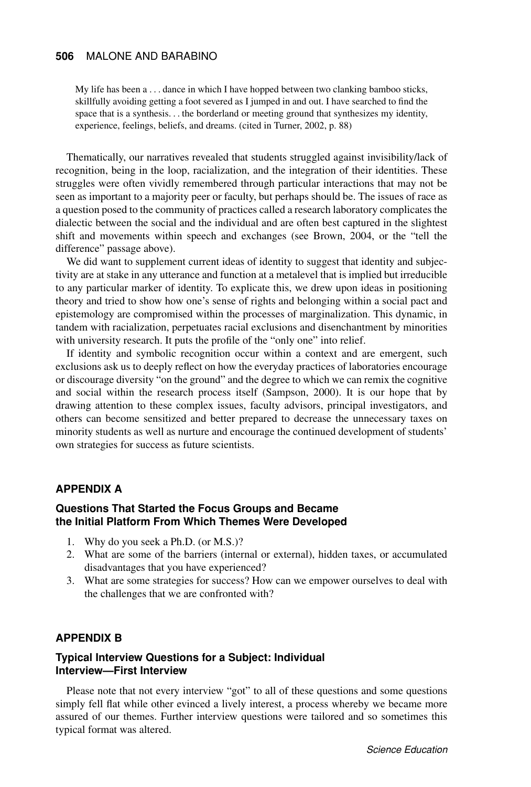My life has been a . . . dance in which I have hopped between two clanking bamboo sticks, skillfully avoiding getting a foot severed as I jumped in and out. I have searched to find the space that is a synthesis. . . the borderland or meeting ground that synthesizes my identity, experience, feelings, beliefs, and dreams. (cited in Turner, 2002, p. 88)

Thematically, our narratives revealed that students struggled against invisibility/lack of recognition, being in the loop, racialization, and the integration of their identities. These struggles were often vividly remembered through particular interactions that may not be seen as important to a majority peer or faculty, but perhaps should be. The issues of race as a question posed to the community of practices called a research laboratory complicates the dialectic between the social and the individual and are often best captured in the slightest shift and movements within speech and exchanges (see Brown, 2004, or the "tell the difference" passage above).

We did want to supplement current ideas of identity to suggest that identity and subjectivity are at stake in any utterance and function at a metalevel that is implied but irreducible to any particular marker of identity. To explicate this, we drew upon ideas in positioning theory and tried to show how one's sense of rights and belonging within a social pact and epistemology are compromised within the processes of marginalization. This dynamic, in tandem with racialization, perpetuates racial exclusions and disenchantment by minorities with university research. It puts the profile of the "only one" into relief.

If identity and symbolic recognition occur within a context and are emergent, such exclusions ask us to deeply reflect on how the everyday practices of laboratories encourage or discourage diversity "on the ground" and the degree to which we can remix the cognitive and social within the research process itself (Sampson, 2000). It is our hope that by drawing attention to these complex issues, faculty advisors, principal investigators, and others can become sensitized and better prepared to decrease the unnecessary taxes on minority students as well as nurture and encourage the continued development of students' own strategies for success as future scientists.

# **APPENDIX A**

## **Questions That Started the Focus Groups and Became the Initial Platform From Which Themes Were Developed**

- 1. Why do you seek a Ph.D. (or M.S.)?
- 2. What are some of the barriers (internal or external), hidden taxes, or accumulated disadvantages that you have experienced?
- 3. What are some strategies for success? How can we empower ourselves to deal with the challenges that we are confronted with?

## **APPENDIX B**

# **Typical Interview Questions for a Subject: Individual Interview—First Interview**

Please note that not every interview "got" to all of these questions and some questions simply fell flat while other evinced a lively interest, a process whereby we became more assured of our themes. Further interview questions were tailored and so sometimes this typical format was altered.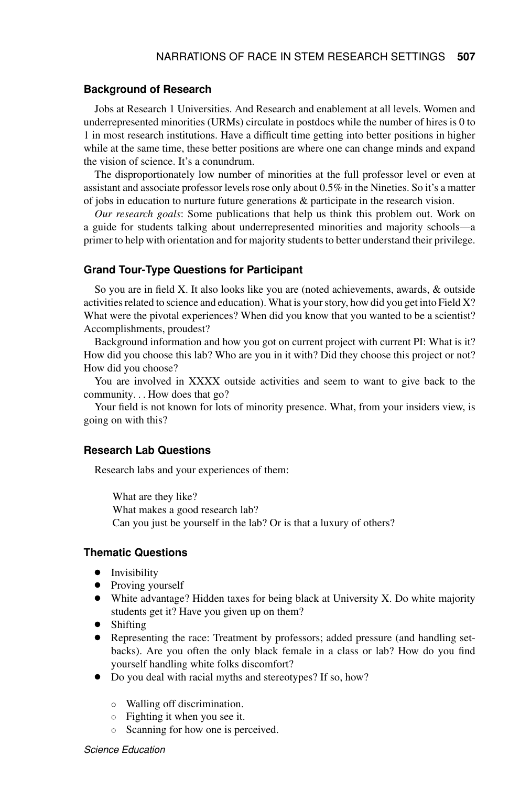## **Background of Research**

Jobs at Research 1 Universities. And Research and enablement at all levels. Women and underrepresented minorities (URMs) circulate in postdocs while the number of hires is 0 to 1 in most research institutions. Have a difficult time getting into better positions in higher while at the same time, these better positions are where one can change minds and expand the vision of science. It's a conundrum.

The disproportionately low number of minorities at the full professor level or even at assistant and associate professor levels rose only about 0.5% in the Nineties. So it's a matter of jobs in education to nurture future generations & participate in the research vision.

*Our research goals*: Some publications that help us think this problem out. Work on a guide for students talking about underrepresented minorities and majority schools—a primer to help with orientation and for majority students to better understand their privilege.

## **Grand Tour-Type Questions for Participant**

So you are in field X. It also looks like you are (noted achievements, awards, & outside activities related to science and education). What is your story, how did you get into Field X? What were the pivotal experiences? When did you know that you wanted to be a scientist? Accomplishments, proudest?

Background information and how you got on current project with current PI: What is it? How did you choose this lab? Who are you in it with? Did they choose this project or not? How did you choose?

You are involved in XXXX outside activities and seem to want to give back to the community. . . How does that go?

Your field is not known for lots of minority presence. What, from your insiders view, is going on with this?

# **Research Lab Questions**

Research labs and your experiences of them:

What are they like? What makes a good research lab? Can you just be yourself in the lab? Or is that a luxury of others?

## **Thematic Questions**

- **•** Invisibility
- Proving yourself
- White advantage? Hidden taxes for being black at University X. Do white majority students get it? Have you given up on them?
- Shifting
- Representing the race: Treatment by professors; added pressure (and handling setbacks). Are you often the only black female in a class or lab? How do you find yourself handling white folks discomfort?
- Do you deal with racial myths and stereotypes? If so, how?
	- Walling off discrimination.
	- Fighting it when you see it.
	- Scanning for how one is perceived.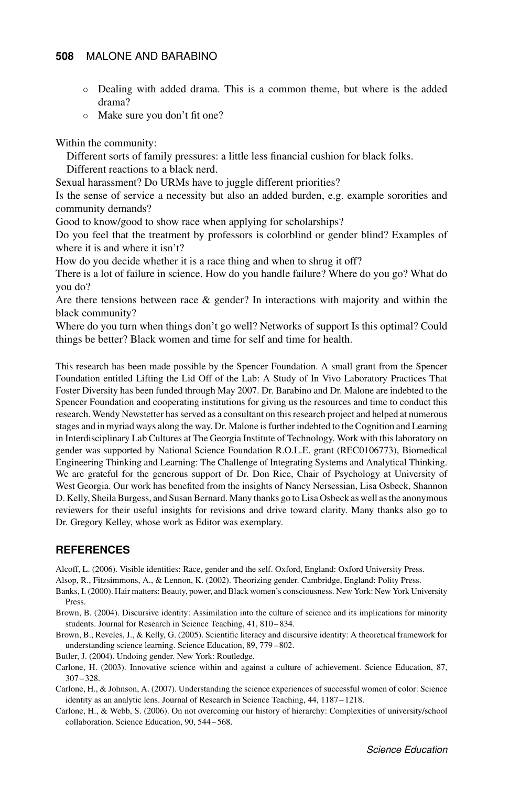- Dealing with added drama. This is a common theme, but where is the added drama?
- Make sure you don't fit one?

Within the community:

Different sorts of family pressures: a little less financial cushion for black folks.

Different reactions to a black nerd.

Sexual harassment? Do URMs have to juggle different priorities?

Is the sense of service a necessity but also an added burden, e.g. example sororities and community demands?

Good to know/good to show race when applying for scholarships?

Do you feel that the treatment by professors is colorblind or gender blind? Examples of where it is and where it isn't?

How do you decide whether it is a race thing and when to shrug it off?

There is a lot of failure in science. How do you handle failure? Where do you go? What do you do?

Are there tensions between race  $\&$  gender? In interactions with majority and within the black community?

Where do you turn when things don't go well? Networks of support Is this optimal? Could things be better? Black women and time for self and time for health.

This research has been made possible by the Spencer Foundation. A small grant from the Spencer Foundation entitled Lifting the Lid Off of the Lab: A Study of In Vivo Laboratory Practices That Foster Diversity has been funded through May 2007. Dr. Barabino and Dr. Malone are indebted to the Spencer Foundation and cooperating institutions for giving us the resources and time to conduct this research. Wendy Newstetter has served as a consultant on this research project and helped at numerous stages and in myriad ways along the way. Dr. Malone is further indebted to the Cognition and Learning in Interdisciplinary Lab Cultures at The Georgia Institute of Technology. Work with this laboratory on gender was supported by National Science Foundation R.O.L.E. grant (REC0106773), Biomedical Engineering Thinking and Learning: The Challenge of Integrating Systems and Analytical Thinking. We are grateful for the generous support of Dr. Don Rice, Chair of Psychology at University of West Georgia. Our work has benefited from the insights of Nancy Nersessian, Lisa Osbeck, Shannon D. Kelly, Sheila Burgess, and Susan Bernard. Many thanks go to Lisa Osbeck as well as the anonymous reviewers for their useful insights for revisions and drive toward clarity. Many thanks also go to Dr. Gregory Kelley, whose work as Editor was exemplary.

# **REFERENCES**

Alcoff, L. (2006). Visible identities: Race, gender and the self. Oxford, England: Oxford University Press.

Alsop, R., Fitzsimmons, A., & Lennon, K. (2002). Theorizing gender. Cambridge, England: Polity Press.

Banks, I. (2000). Hair matters: Beauty, power, and Black women's consciousness. New York: New York University Press.

Brown, B. (2004). Discursive identity: Assimilation into the culture of science and its implications for minority students. Journal for Research in Science Teaching, 41, 810-834.

Brown, B., Reveles, J., & Kelly, G. (2005). Scientific literacy and discursive identity: A theoretical framework for understanding science learning. Science Education, 89, 779 – 802.

Butler, J. (2004). Undoing gender. New York: Routledge.

Carlone, H. (2003). Innovative science within and against a culture of achievement. Science Education, 87, 307 – 328.

Carlone, H., & Johnson, A. (2007). Understanding the science experiences of successful women of color: Science identity as an analytic lens. Journal of Research in Science Teaching, 44, 1187 – 1218.

Carlone, H., & Webb, S. (2006). On not overcoming our history of hierarchy: Complexities of university/school collaboration. Science Education, 90, 544 – 568.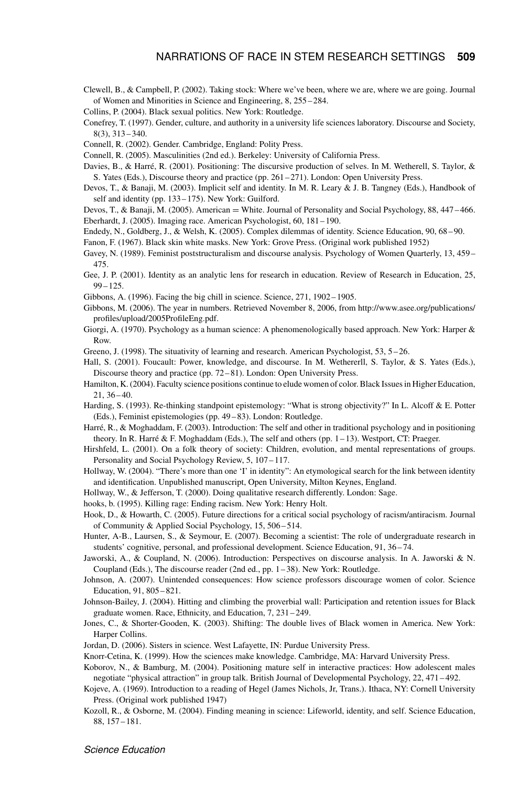Clewell, B., & Campbell, P. (2002). Taking stock: Where we've been, where we are, where we are going. Journal of Women and Minorities in Science and Engineering, 8, 255 – 284.

Collins, P. (2004). Black sexual politics. New York: Routledge.

Conefrey, T. (1997). Gender, culture, and authority in a university life sciences laboratory. Discourse and Society, 8(3), 313 – 340.

Connell, R. (2002). Gender. Cambridge, England: Polity Press.

- Connell, R. (2005). Masculinities (2nd ed.). Berkeley: University of California Press.
- Davies, B., & Harré, R. (2001). Positioning: The discursive production of selves. In M. Wetherell, S. Taylor, & S. Yates (Eds.), Discourse theory and practice (pp. 261 – 271). London: Open University Press.
- Devos, T., & Banaji, M. (2003). Implicit self and identity. In M. R. Leary & J. B. Tangney (Eds.), Handbook of self and identity (pp. 133–175). New York: Guilford.
- Devos, T., & Banaji, M. (2005). American = White. Journal of Personality and Social Psychology, 88, 447 466. Eberhardt, J. (2005). Imaging race. American Psychologist, 60, 181 – 190.
- Endedy, N., Goldberg, J., & Welsh, K. (2005). Complex dilemmas of identity. Science Education, 90, 68 90.

Fanon, F. (1967). Black skin white masks. New York: Grove Press. (Original work published 1952)

- Gavey, N. (1989). Feminist poststructuralism and discourse analysis. Psychology of Women Quarterly, 13, 459 475.
- Gee, J. P. (2001). Identity as an analytic lens for research in education. Review of Research in Education, 25,  $99 - 125$ .
- Gibbons, A. (1996). Facing the big chill in science. Science, 271, 1902-1905.
- Gibbons, M. (2006). The year in numbers. Retrieved November 8, 2006, from http://www.asee.org/publications/ profiles/upload/2005ProfileEng.pdf.
- Giorgi, A. (1970). Psychology as a human science: A phenomenologically based approach. New York: Harper & Row.
- Greeno, J. (1998). The situativity of learning and research. American Psychologist, 53, 5 26.
- Hall, S. (2001). Foucault: Power, knowledge, and discourse. In M. Wethererll, S. Taylor, & S. Yates (Eds.), Discourse theory and practice (pp. 72 – 81). London: Open University Press.
- Hamilton, K. (2004). Faculty science positions continue to elude women of color. Black Issues in Higher Education,  $21, 36 - 40.$
- Harding, S. (1993). Re-thinking standpoint epistemology: "What is strong objectivity?" In L. Alcoff & E. Potter (Eds.), Feminist epistemologies (pp. 49 – 83). London: Routledge.
- Harré, R., & Moghaddam, F. (2003). Introduction: The self and other in traditional psychology and in positioning theory. In R. Harré & F. Moghaddam (Eds.), The self and others (pp.  $1-13$ ). Westport, CT: Praeger.
- Hirshfeld, L. (2001). On a folk theory of society: Children, evolution, and mental representations of groups. Personality and Social Psychology Review, 5, 107 – 117.
- Hollway, W. (2004). "There's more than one 'I' in identity": An etymological search for the link between identity and identification. Unpublished manuscript, Open University, Milton Keynes, England.
- Hollway, W., & Jefferson, T. (2000). Doing qualitative research differently. London: Sage.
- hooks, b. (1995). Killing rage: Ending racism. New York: Henry Holt.
- Hook, D., & Howarth, C. (2005). Future directions for a critical social psychology of racism/antiracism. Journal of Community & Applied Social Psychology, 15, 506 – 514.
- Hunter, A-B., Laursen, S., & Seymour, E. (2007). Becoming a scientist: The role of undergraduate research in students' cognitive, personal, and professional development. Science Education, 91, 36–74.
- Jaworski, A., & Coupland, N. (2006). Introduction: Perspectives on discourse analysis. In A. Jaworski & N. Coupland (Eds.), The discourse reader (2nd ed., pp. 1 – 38). New York: Routledge.
- Johnson, A. (2007). Unintended consequences: How science professors discourage women of color. Science Education, 91, 805 – 821.
- Johnson-Bailey, J. (2004). Hitting and climbing the proverbial wall: Participation and retention issues for Black graduate women. Race, Ethnicity, and Education, 7, 231 – 249.
- Jones, C., & Shorter-Gooden, K. (2003). Shifting: The double lives of Black women in America. New York: Harper Collins.
- Jordan, D. (2006). Sisters in science. West Lafayette, IN: Purdue University Press.
- Knorr-Cetina, K. (1999). How the sciences make knowledge. Cambridge, MA: Harvard University Press.
- Koborov, N., & Bamburg, M. (2004). Positioning mature self in interactive practices: How adolescent males negotiate "physical attraction" in group talk. British Journal of Developmental Psychology, 22, 471 – 492.
- Kojeve, A. (1969). Introduction to a reading of Hegel (James Nichols, Jr, Trans.). Ithaca, NY: Cornell University Press. (Original work published 1947)
- Kozoll, R., & Osborne, M. (2004). Finding meaning in science: Lifeworld, identity, and self. Science Education, 88, 157 – 181.